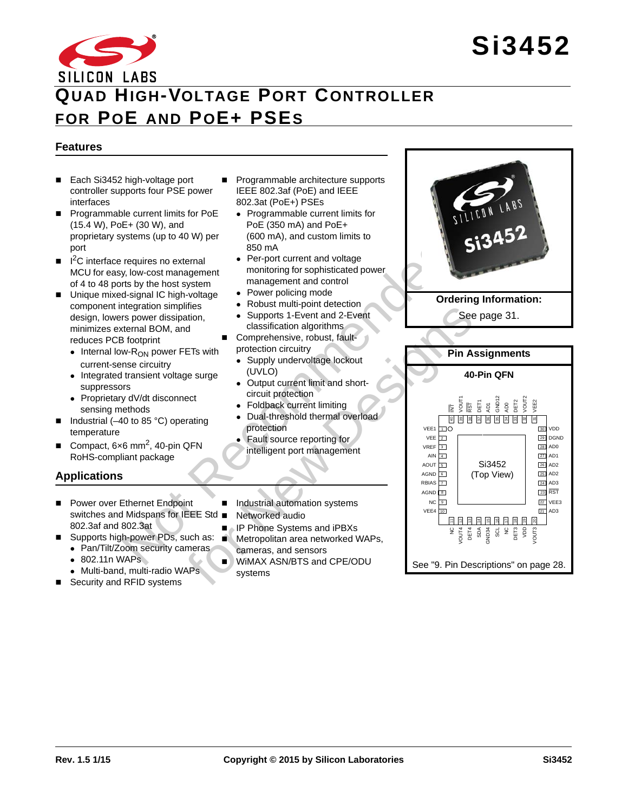# SILICON LABS **QUAD HIGH-VOLTAGE PORT CONTROLLER FOR POE AND POE+ PSES**

# **Features**

- Each Si3452 high-voltage port controller supports four PSE power interfaces
- **Programmable current limits for PoE** (15.4 W), PoE+ (30 W), and proprietary systems (up to 40 W) per port
- $\blacksquare$   $\blacksquare$   $\blacksquare$   $\blacksquare$   $\blacksquare$   $\blacksquare$   $\blacksquare$   $\blacksquare$   $\blacksquare$   $\blacksquare$   $\blacksquare$   $\blacksquare$   $\blacksquare$   $\blacksquare$   $\blacksquare$   $\blacksquare$   $\blacksquare$   $\blacksquare$   $\blacksquare$   $\blacksquare$   $\blacksquare$   $\blacksquare$   $\blacksquare$   $\blacksquare$   $\blacksquare$   $\blacksquare$   $\blacksquare$   $\blacksquare$   $\blacksquare$   $\blacksquare$   $\blacksquare$   $\blacks$ MCU for easy, low-cost management of 4 to 48 ports by the host system
- Unique mixed-signal IC high-voltage component integration simplifies design, lowers power dissipation, minimizes external BOM, and reduces PCB footprint
	- $\bullet$  Internal low- $R_{ON}$  power FETs with current-sense circuitry
	- Integrated transient voltage surge suppressors
	- Proprietary dV/dt disconnect sensing methods
- Industrial (–40 to 85 °C) operating temperature
- Compact, 6x6 mm<sup>2</sup>, 40-pin QFN RoHS-compliant package

# **Applications**

- Power over Ethernet Endpoint switches and Midspans for IEEE Std 802.3af and 802.3at
- Supports high-power PDs, such as:
	- Pan/Tilt/Zoom security cameras
	- 802.11n WAPs
- Multi-band, multi-radio WAPs ■ Security and RFID systems
- Programmable architecture supports IEEE 802.3af (PoE) and IEEE 802.3at (PoE+) PSEs
	- Programmable current limits for PoE (350 mA) and PoE+ (600 mA), and custom limits to 850 mA
	- Per-port current and voltage monitoring for sophisticated power management and control
	- Power policing mode
	- Robust multi-point detection
	- Supports 1-Event and 2-Event classification algorithms
- Comprehensive, robust, faultprotection circuitry
	-
	- Supply undervoltage lockout (UVLO)
	- Output current limit and shortcircuit protection
	- Foldback current limiting
	- Dual-threshold thermal overload protection
	- Fault source reporting for intelligent port management
- Industrial automation systems
- Networked audio
- IP Phone Systems and iPBXs Metropolitan area networked WAPs, cameras, and sensors
- **NUMAX ASN/BTS and CPE/ODU** systems



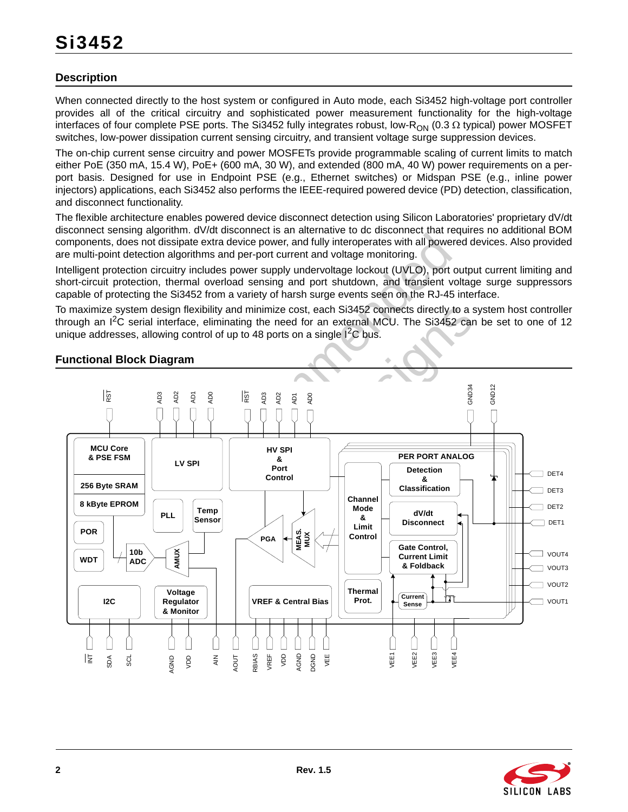### **Description**

When connected directly to the host system or configured in Auto mode, each Si3452 high-voltage port controller provides all of the critical circuitry and sophisticated power measurement functionality for the high-voltage interfaces of four complete PSE ports. The Si3452 fully integrates robust, low-R<sub>ON</sub> (0.3  $\Omega$  typical) power MOSFET switches, low-power dissipation current sensing circuitry, and transient voltage surge suppression devices.

The on-chip current sense circuitry and power MOSFETs provide programmable scaling of current limits to match either PoE (350 mA, 15.4 W), PoE+ (600 mA, 30 W), and extended (800 mA, 40 W) power requirements on a perport basis. Designed for use in Endpoint PSE (e.g., Ethernet switches) or Midspan PSE (e.g., inline power injectors) applications, each Si3452 also performs the IEEE-required powered device (PD) detection, classification, and disconnect functionality.

The flexible architecture enables powered device disconnect detection using Silicon Laboratories' proprietary dV/dt disconnect sensing algorithm. dV/dt disconnect is an alternative to dc disconnect that requires no additional BOM components, does not dissipate extra device power, and fully interoperates with all powered devices. Also provided are multi-point detection algorithms and per-port current and voltage monitoring.

Intelligent protection circuitry includes power supply undervoltage lockout (UVLO), port output current limiting and short-circuit protection, thermal overload sensing and port shutdown, and transient voltage surge suppressors capable of protecting the Si3452 from a variety of harsh surge events seen on the RJ-45 interface.

To maximize system design flexibility and minimize cost, each Si3452 connects directly to a system host controller through an I<sup>2</sup>C serial interface, eliminating the need for an external MCU. The Si3452 can be set to one of 12 unique addresses, allowing control of up to 48 ports on a single  $1<sup>2</sup>C$  bus.

### **Functional Block Diagram**



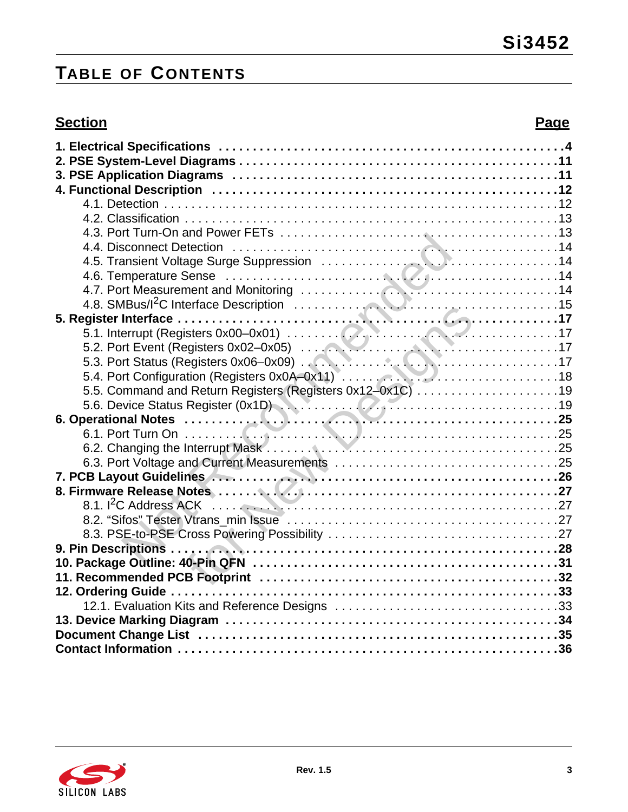# **TABLE OF CONTENTS**

# **Section Page**

| 5.5. Command and Return Registers (Registers 0x12-0x1C) 19                         |  |
|------------------------------------------------------------------------------------|--|
|                                                                                    |  |
| 5.6. Device Status Register (0x1D)<br>6. Operational Notes<br>25                   |  |
|                                                                                    |  |
|                                                                                    |  |
|                                                                                    |  |
|                                                                                    |  |
| 7. PCB Layout Guidelines<br>8. Firmware Release Notes<br>8. Firmware Release Notes |  |
|                                                                                    |  |
|                                                                                    |  |
|                                                                                    |  |
|                                                                                    |  |
|                                                                                    |  |
|                                                                                    |  |
|                                                                                    |  |
|                                                                                    |  |
|                                                                                    |  |
|                                                                                    |  |
|                                                                                    |  |

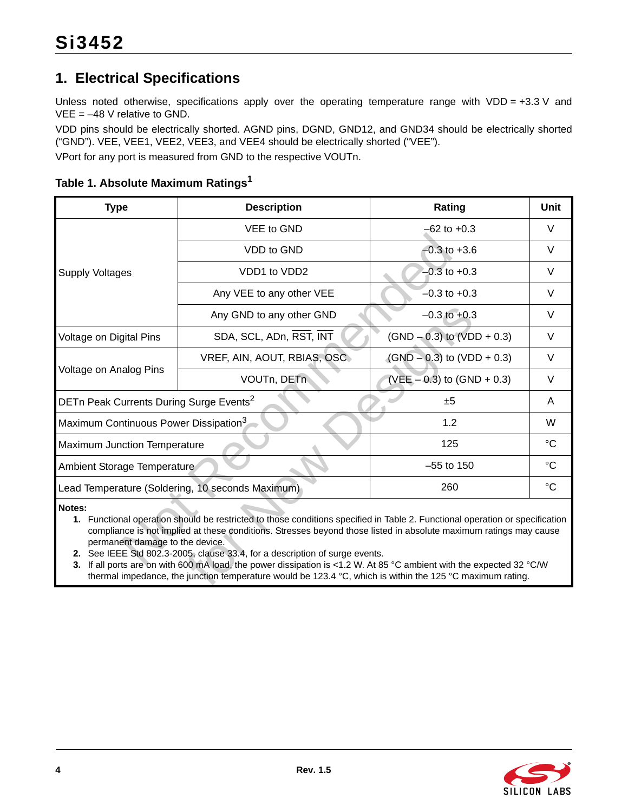# <span id="page-3-0"></span>**1. Electrical Specifications**

Unless noted otherwise, specifications apply over the operating temperature range with VDD = +3.3 V and  $VEE = -48$  V relative to GND.

VDD pins should be electrically shorted. AGND pins, DGND, GND12, and GND34 should be electrically shorted ("GND"). VEE, VEE1, VEE2, VEE3, and VEE4 should be electrically shorted ("VEE").

VPort for any port is measured from GND to the respective VOUTn.

<span id="page-3-3"></span><span id="page-3-2"></span><span id="page-3-1"></span>

| <b>Type</b>                                                                                                                                                                                                                                                                                                                                                                                                                                                                                                                                                                                                        | <b>Description</b>                               | Rating                         | Unit        |  |  |  |  |
|--------------------------------------------------------------------------------------------------------------------------------------------------------------------------------------------------------------------------------------------------------------------------------------------------------------------------------------------------------------------------------------------------------------------------------------------------------------------------------------------------------------------------------------------------------------------------------------------------------------------|--------------------------------------------------|--------------------------------|-------------|--|--|--|--|
|                                                                                                                                                                                                                                                                                                                                                                                                                                                                                                                                                                                                                    | VEE to GND                                       | $-62$ to $+0.3$                | $\vee$      |  |  |  |  |
|                                                                                                                                                                                                                                                                                                                                                                                                                                                                                                                                                                                                                    | VDD to GND                                       | $-0.3$ to $+3.6$               | $\vee$      |  |  |  |  |
| <b>Supply Voltages</b>                                                                                                                                                                                                                                                                                                                                                                                                                                                                                                                                                                                             | VDD1 to VDD2                                     | $-0.3$ to $+0.3$               | V           |  |  |  |  |
|                                                                                                                                                                                                                                                                                                                                                                                                                                                                                                                                                                                                                    | Any VEE to any other VEE                         | $-0.3$ to $+0.3$               | $\vee$      |  |  |  |  |
|                                                                                                                                                                                                                                                                                                                                                                                                                                                                                                                                                                                                                    | Any GND to any other GND                         | $-0.3$ to $+0.3$               | $\vee$      |  |  |  |  |
| Voltage on Digital Pins                                                                                                                                                                                                                                                                                                                                                                                                                                                                                                                                                                                            | SDA, SCL, ADn, RST, INT                          | $(SND - 0.3)$ to $(VDD + 0.3)$ | V           |  |  |  |  |
|                                                                                                                                                                                                                                                                                                                                                                                                                                                                                                                                                                                                                    | VREF, AIN, AOUT, RBIAS, OSC                      | $(GND - 0.3)$ to $(VDD + 0.3)$ | $\vee$      |  |  |  |  |
| Voltage on Analog Pins                                                                                                                                                                                                                                                                                                                                                                                                                                                                                                                                                                                             | VOUTn, DETn                                      | (VEE $-0.3$ ) to (GND + 0.3)   | $\vee$      |  |  |  |  |
| DETn Peak Currents During Surge Events <sup>2</sup>                                                                                                                                                                                                                                                                                                                                                                                                                                                                                                                                                                |                                                  | ±5                             | A           |  |  |  |  |
| Maximum Continuous Power Dissipation <sup>3</sup>                                                                                                                                                                                                                                                                                                                                                                                                                                                                                                                                                                  |                                                  | 1.2                            | W           |  |  |  |  |
| <b>Maximum Junction Temperature</b>                                                                                                                                                                                                                                                                                                                                                                                                                                                                                                                                                                                |                                                  | 125                            | °C          |  |  |  |  |
| Ambient Storage Temperature                                                                                                                                                                                                                                                                                                                                                                                                                                                                                                                                                                                        |                                                  | $-55$ to 150                   | °C          |  |  |  |  |
|                                                                                                                                                                                                                                                                                                                                                                                                                                                                                                                                                                                                                    | Lead Temperature (Soldering, 10 seconds Maximum) | 260                            | $^{\circ}C$ |  |  |  |  |
| Notes:<br>1. Functional operation should be restricted to those conditions specified in Table 2. Functional operation or specification<br>compliance is not implied at these conditions. Stresses beyond those listed in absolute maximum ratings may cause<br>permanent damage to the device.<br>2. See IEEE Std 802.3-2005, clause 33.4, for a description of surge events.<br>3. If all ports are on with 600 mA load, the power dissipation is <1.2 W. At 85 °C ambient with the expected 32 °C/W<br>thermal impedance, the junction temperature would be 123.4 °C, which is within the 125 °C maximum rating. |                                                  |                                |             |  |  |  |  |

**Table 1. Absolute Maximum Rating[s1](#page-3-3)**

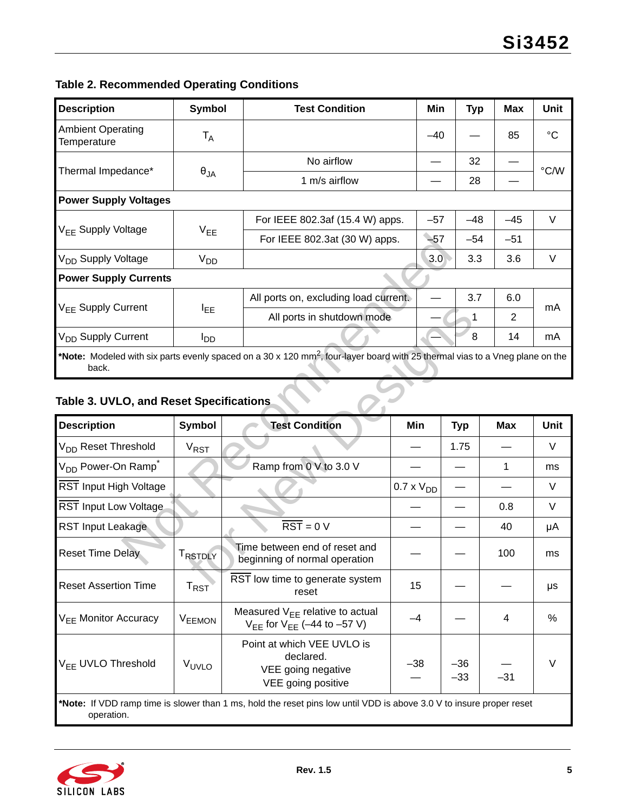# <span id="page-4-0"></span>**Table 2. Recommended Operating Conditions**

| <b>Description</b>                                                                                                                                | Symbol          | <b>Test Condition</b>                 | Min   | <b>Typ</b> | <b>Max</b> | <b>Unit</b> |  |  |
|---------------------------------------------------------------------------------------------------------------------------------------------------|-----------------|---------------------------------------|-------|------------|------------|-------------|--|--|
| <b>Ambient Operating</b><br>Temperature                                                                                                           | T <sub>A</sub>  |                                       | $-40$ |            | 85         | °C          |  |  |
|                                                                                                                                                   |                 | No airflow                            |       | 32         |            |             |  |  |
| Thermal Impedance*                                                                                                                                | $\theta_{JA}$   | 1 m/s airflow                         |       | 28         |            | °C/W        |  |  |
| <b>Power Supply Voltages</b>                                                                                                                      |                 |                                       |       |            |            |             |  |  |
|                                                                                                                                                   |                 | For IEEE 802.3af (15.4 W) apps.       | $-57$ | $-48$      | $-45$      | V           |  |  |
| $V_{FF}$ Supply Voltage                                                                                                                           | $V_{EE}$        | For IEEE 802.3at (30 W) apps.         | $-57$ | $-54$      | $-51$      |             |  |  |
| V <sub>DD</sub> Supply Voltage                                                                                                                    | V <sub>DD</sub> |                                       | 3.0   | 3.3        | 3.6        | V           |  |  |
| <b>Power Supply Currents</b>                                                                                                                      |                 |                                       |       |            |            |             |  |  |
|                                                                                                                                                   |                 | All ports on, excluding load current. |       | 3.7        | 6.0        |             |  |  |
| V <sub>FF</sub> Supply Current                                                                                                                    | <b>I</b> EE     | All ports in shutdown mode            |       | 1          | 2          | mA          |  |  |
| V <sub>DD</sub> Supply Current                                                                                                                    | <sup>I</sup> DD |                                       |       | 8          | 14         | mA          |  |  |
| *Note: Modeled with six parts evenly spaced on a 30 x 120 mm <sup>2</sup> , four-layer board with 25 thermal vias to a Vneg plane on the<br>back. |                 |                                       |       |            |            |             |  |  |

# <span id="page-4-1"></span>**Table 3. UVLO, and Reset Specifications**

|                                            | . cc                   | For IEEE 802.3at (30 W) apps.                                                                                                            |                     | $-57$ | $-54$          | $-51$          |        |
|--------------------------------------------|------------------------|------------------------------------------------------------------------------------------------------------------------------------------|---------------------|-------|----------------|----------------|--------|
| V <sub>DD</sub> Supply Voltage             | <b>V<sub>DD</sub></b>  |                                                                                                                                          |                     | 3.0   | 3.3            | 3.6            | $\vee$ |
| <b>Power Supply Currents</b>               |                        |                                                                                                                                          |                     |       |                |                |        |
|                                            |                        | All ports on, excluding load current.                                                                                                    |                     |       | 3.7            | 6.0            |        |
| V <sub>EE</sub> Supply Current             | $I_{EE}$               | All ports in shutdown mode                                                                                                               |                     |       | 1              | $\overline{2}$ | mA     |
| V <sub>DD</sub> Supply Current             | $I_{DD}$               |                                                                                                                                          |                     |       | $\,8\,$        | 14             | mA     |
| back.                                      |                        | *Note: Modeled with six parts evenly spaced on a 30 x 120 mm <sup>2</sup> , four-layer board with 25 thermal vias to a Vneg plane on the |                     |       |                |                |        |
| Table 3. UVLO, and Reset Specifications    |                        |                                                                                                                                          |                     |       |                |                |        |
| <b>Description</b>                         | <b>Symbol</b>          | <b>Test Condition</b>                                                                                                                    | Min                 |       | <b>Typ</b>     | <b>Max</b>     | Unit   |
| V <sub>DD</sub> Reset Threshold            | <b>V<sub>RST</sub></b> |                                                                                                                                          |                     |       | 1.75           |                | $\vee$ |
| V <sub>DD</sub> Power-On Ramp <sup>*</sup> |                        | Ramp from 0 V to 3.0 V                                                                                                                   |                     |       |                | $\mathbf{1}$   | ms     |
| RST Input High Voltage                     |                        |                                                                                                                                          | $0.7 \times V_{DD}$ |       |                |                | V      |
| RST Input Low Voltage                      |                        |                                                                                                                                          |                     |       |                | 0.8            | V      |
| <b>RST Input Leakage</b>                   |                        | $\overline{\text{RST}} = 0 \text{ V}$                                                                                                    |                     |       |                | 40             | μA     |
| <b>Reset Time Delay</b>                    | TRSTDLY                | Time between end of reset and<br>beginning of normal operation                                                                           |                     |       |                | 100            | ms     |
| <b>Reset Assertion Time</b>                | $T_{RST}$              | RST low time to generate system<br>reset                                                                                                 | 15                  |       |                |                | μs     |
| V <sub>FF</sub> Monitor Accuracy           | <b>VEEMON</b>          | Measured $V_{EE}$ relative to actual<br>$V_{EE}$ for $V_{EE}$ (-44 to -57 V)                                                             | $-4$                |       |                | 4              | %      |
| V <sub>EE</sub> UVLO Threshold             | VUVLO                  | Point at which VEE UVLO is<br>declared.<br>VEE going negative<br>VEE going positive                                                      | $-38$               |       | $-36$<br>$-33$ | $-31$          | $\vee$ |
| operation.                                 |                        | *Note: If VDD ramp time is slower than 1 ms, hold the reset pins low until VDD is above 3.0 V to insure proper reset                     |                     |       |                |                |        |

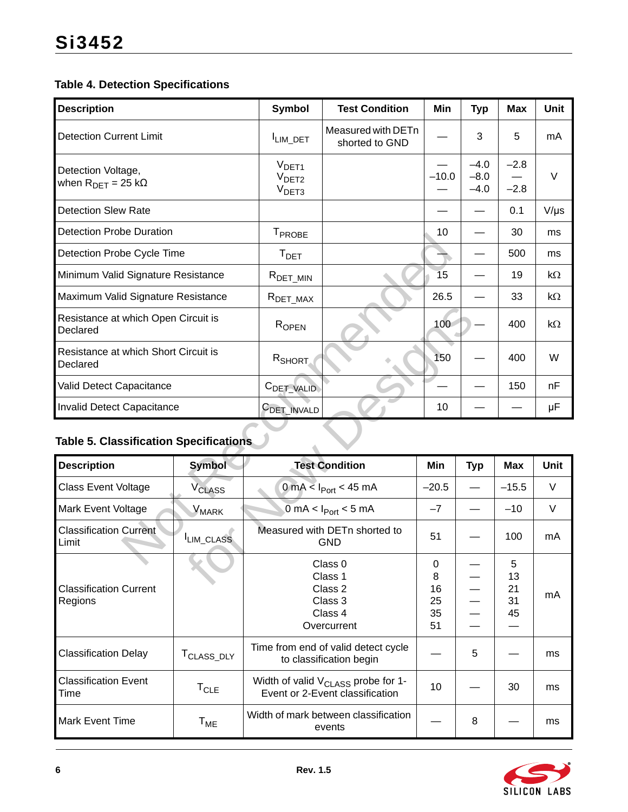### **Table 4. Detection Specifications**

| <b>Description</b>                                               |                          | <b>Symbol</b>                                               | <b>Test Condition</b>                           | Min             | <b>Typ</b>                 | <b>Max</b>       | <b>Unit</b> |
|------------------------------------------------------------------|--------------------------|-------------------------------------------------------------|-------------------------------------------------|-----------------|----------------------------|------------------|-------------|
| <b>Detection Current Limit</b>                                   |                          | ILIM_DET                                                    | Measured with DETn<br>shorted to GND            |                 | 3                          | 5                | mA          |
| Detection Voltage,<br>when $R_{\text{DFT}} = 25 \text{ k}\Omega$ |                          | V <sub>DET1</sub><br>V <sub>DET2</sub><br>V <sub>DET3</sub> |                                                 | $-10.0$         | $-4.0$<br>$-8.0$<br>$-4.0$ | $-2.8$<br>$-2.8$ | $\vee$      |
| <b>Detection Slew Rate</b>                                       |                          |                                                             |                                                 |                 |                            | 0.1              | $V/\mu s$   |
| <b>Detection Probe Duration</b>                                  |                          | T <sub>PROBE</sub>                                          |                                                 | 10              |                            | 30               | ms          |
| Detection Probe Cycle Time                                       |                          | T <sub>DET</sub>                                            |                                                 |                 |                            | 500              | ms          |
| Minimum Valid Signature Resistance                               |                          | $R_{\text{DET\_MIN}}$                                       |                                                 | $\overline{15}$ |                            | 19               | $k\Omega$   |
| Maximum Valid Signature Resistance                               |                          | $R_{DET\_MAX}$                                              |                                                 | 26.5            |                            | 33               | $k\Omega$   |
| Resistance at which Open Circuit is<br>Declared                  |                          | ROPEN                                                       |                                                 | 100             |                            | 400              | $k\Omega$   |
| Resistance at which Short Circuit is<br>Declared                 |                          | RSHORT                                                      |                                                 | 150             |                            | 400              | W           |
| Valid Detect Capacitance                                         |                          | C <sub>DET_VALID</sub>                                      |                                                 |                 |                            | 150              | nF          |
| Invalid Detect Capacitance                                       |                          | C <sub>DET</sub> INVALD                                     |                                                 | 10              |                            |                  | μF          |
| <b>Table 5. Classification Specifications</b>                    |                          |                                                             |                                                 |                 |                            |                  |             |
| <b>Description</b>                                               | <b>Symbol</b>            |                                                             | <b>Test Condition</b>                           | Min             | <b>Typ</b>                 | <b>Max</b>       | <b>Unit</b> |
| <b>Class Event Voltage</b>                                       | <b>V<sub>CLASS</sub></b> |                                                             | 0 mA < $I_{Port}$ < 45 mA                       | $-20.5$         | $\overline{\phantom{0}}$   | $-15.5$          | $\vee$      |
| Mark Event Voltage                                               | V <sub>MARK</sub>        |                                                             | $0 \text{ mA} < I_{\text{Port}} < 5 \text{ mA}$ | $-7$            |                            | $-10$            | $\vee$      |
| <b>Classification Current</b><br>Limit                           | LIM_CLASS                |                                                             | Measured with DETn shorted to<br><b>GND</b>     | 51              |                            | 100              | mA          |
|                                                                  |                          |                                                             | Class 0                                         | $\Omega$        |                            | Б.               |             |

# **Table 5. Classification Specifications**

| Resistance at which Open Circuit is<br>Declared  |                            | $R_{\text{OPEN}}$       |                                                                                   | 100                            |            | 400                       | $k\Omega$   |
|--------------------------------------------------|----------------------------|-------------------------|-----------------------------------------------------------------------------------|--------------------------------|------------|---------------------------|-------------|
| Resistance at which Short Circuit is<br>Declared |                            | R <sub>SHORT</sub>      |                                                                                   | 150                            |            | 400                       | W           |
| Valid Detect Capacitance                         |                            | C <sub>DET_VALID</sub>  |                                                                                   |                                |            | 150                       | nF          |
| Invalid Detect Capacitance                       |                            | C <sub>DET</sub> INVALD |                                                                                   | 10                             |            |                           | μF          |
| <b>Table 5. Classification Specifications</b>    |                            |                         |                                                                                   |                                |            |                           |             |
| <b>Description</b>                               | <b>Symbol</b>              |                         | <b>Test Condition</b>                                                             | Min                            | <b>Typ</b> | <b>Max</b>                | <b>Unit</b> |
| <b>Class Event Voltage</b>                       | <b>V<sub>CLASS</sub></b>   |                         | $0 \text{ mA} < I_{\text{Port}} < 45 \text{ mA}$                                  | $-20.5$                        |            | $-15.5$                   | V           |
| Mark Event Voltage                               | $V_{\text{MARK}}$          |                         | $0 \text{ mA} < I_{\text{Port}} < 5 \text{ mA}$                                   | $-7$                           |            | $-10$                     | V           |
| <b>Classification Current</b><br>Limit           | LIM_CLASS                  |                         | Measured with DETn shorted to<br><b>GND</b>                                       | 51                             |            | 100                       | mA          |
| <b>Classification Current</b><br>Regions         |                            |                         | Class 0<br>Class 1<br>Class 2<br>Class 3<br>Class 4<br>Overcurrent                | 0<br>8<br>16<br>25<br>35<br>51 |            | 5<br>13<br>21<br>31<br>45 | mA          |
| <b>Classification Delay</b>                      | T <sub>CLASS_DLY</sub>     |                         | Time from end of valid detect cycle<br>to classification begin                    |                                | 5          |                           | ms          |
| <b>Classification Event</b><br>Time              | $T_{CLE}$                  |                         | Width of valid $V_{\text{CLASS}}$ probe for 1-<br>Event or 2-Event classification | 10                             |            | 30                        | ms          |
| <b>Mark Event Time</b>                           | $\mathsf{T}_{\mathsf{ME}}$ |                         | Width of mark between classification<br>events                                    |                                | 8          |                           | ms          |

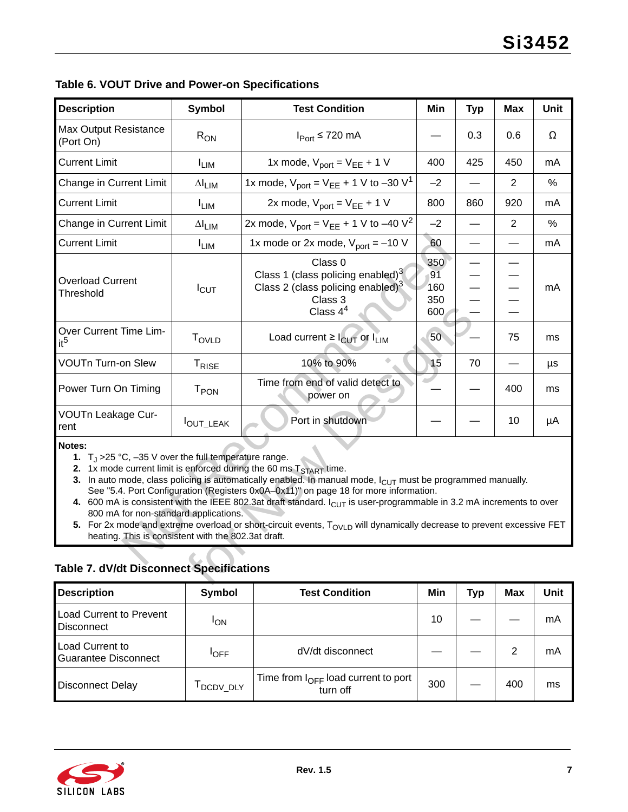| <b>Description</b>                                                                                                                                                                                                                                                                                                                                                                                                                                                                                                                                                                                                                                                                                                                                                                                              | <b>Symbol</b>     | <b>Test Condition</b>                                                                                            | Min                            | <b>Typ</b> | <b>Max</b>     | <b>Unit</b> |  |  |  |
|-----------------------------------------------------------------------------------------------------------------------------------------------------------------------------------------------------------------------------------------------------------------------------------------------------------------------------------------------------------------------------------------------------------------------------------------------------------------------------------------------------------------------------------------------------------------------------------------------------------------------------------------------------------------------------------------------------------------------------------------------------------------------------------------------------------------|-------------------|------------------------------------------------------------------------------------------------------------------|--------------------------------|------------|----------------|-------------|--|--|--|
| Max Output Resistance<br>(Port On)                                                                                                                                                                                                                                                                                                                                                                                                                                                                                                                                                                                                                                                                                                                                                                              | $R_{ON}$          | $I_{Port} \le 720$ mA                                                                                            |                                | 0.3        | 0.6            | Ω           |  |  |  |
| <b>Current Limit</b>                                                                                                                                                                                                                                                                                                                                                                                                                                                                                                                                                                                                                                                                                                                                                                                            | $I_{LIM}$         | 1x mode, $V_{port} = V_{EE} + 1 V$                                                                               | 400                            | 425        | 450            | mA          |  |  |  |
| Change in Current Limit                                                                                                                                                                                                                                                                                                                                                                                                                                                                                                                                                                                                                                                                                                                                                                                         | $\Delta I_{LIM}$  | 1x mode, $V_{\text{port}} = V_{\text{EE}} + 1 \text{ V to } -30 \text{ V}^1$                                     | $-2$                           |            | $\overline{2}$ | $\%$        |  |  |  |
| <b>Current Limit</b>                                                                                                                                                                                                                                                                                                                                                                                                                                                                                                                                                                                                                                                                                                                                                                                            | $I_{LIM}$         | 2x mode, $V_{port} = V_{EE} + 1 V$                                                                               | 800                            | 860        | 920            | mA          |  |  |  |
| Change in Current Limit                                                                                                                                                                                                                                                                                                                                                                                                                                                                                                                                                                                                                                                                                                                                                                                         | $\Delta I_{LIM}$  | 2x mode, $V_{\text{port}} = V_{\text{EE}} + 1 \text{ V to } -40 \text{ V}^2$                                     | $-2$                           |            | $\overline{2}$ | %           |  |  |  |
| <b>Current Limit</b>                                                                                                                                                                                                                                                                                                                                                                                                                                                                                                                                                                                                                                                                                                                                                                                            | $I_{LIM}$         | 1x mode or 2x mode, $V_{port} = -10 V$                                                                           | 60                             |            |                | mA          |  |  |  |
| <b>Overload Current</b><br>Threshold                                                                                                                                                                                                                                                                                                                                                                                                                                                                                                                                                                                                                                                                                                                                                                            | $I_{\text{CUT}}$  | Class 0<br>Class 1 (class policing enabled) $3$<br>Class 2 (class policing enabled) $3$<br>Class 3<br>Class $44$ | 350<br>91<br>160<br>350<br>600 |            |                | mA          |  |  |  |
| Over Current Time Lim-<br>it <sup>5</sup>                                                                                                                                                                                                                                                                                                                                                                                                                                                                                                                                                                                                                                                                                                                                                                       | <b>TOVLD</b>      | Load current $\geq$ $I_{\text{CUT}}$ or $I_{\text{LIM}}$                                                         | 50                             |            | 75             | ms          |  |  |  |
| <b>VOUTn Turn-on Slew</b>                                                                                                                                                                                                                                                                                                                                                                                                                                                                                                                                                                                                                                                                                                                                                                                       | T <sub>RISE</sub> | 10% to 90%                                                                                                       | 15                             | 70         |                | μs          |  |  |  |
| Power Turn On Timing                                                                                                                                                                                                                                                                                                                                                                                                                                                                                                                                                                                                                                                                                                                                                                                            | T <sub>PON</sub>  | Time from end of valid detect to<br>power on                                                                     |                                |            | 400            | ms          |  |  |  |
| VOUTn Leakage Cur-<br>rent                                                                                                                                                                                                                                                                                                                                                                                                                                                                                                                                                                                                                                                                                                                                                                                      | OUT_LEAK          | Port in shutdown                                                                                                 |                                |            | 10             | μA          |  |  |  |
| Notes:<br>1. $T_{\text{J}} > 25 \text{ °C}$ , -35 V over the full temperature range.<br>2. 1x mode current limit is enforced during the 60 ms $T_{\text{START}}$ time.<br>3. In auto mode, class policing is automatically enabled. In manual mode, $I_{\text{ClJT}}$ must be programmed manually.<br>See "5.4. Port Configuration (Registers 0x0A-0x11)" on page 18 for more information.<br>4. 600 mA is consistent with the IEEE 802.3at draft standard. $I_{\text{CUT}}$ is user-programmable in 3.2 mA increments to over<br>800 mA for non-standard applications.<br>5. For 2x mode and extreme overload or short-circuit events, T <sub>OVLD</sub> will dynamically decrease to prevent excessive FET<br>heating. This is consistent with the 802.3at draft.<br>Table 7. dV/dt Disconnect Specifications |                   |                                                                                                                  |                                |            |                |             |  |  |  |
|                                                                                                                                                                                                                                                                                                                                                                                                                                                                                                                                                                                                                                                                                                                                                                                                                 |                   |                                                                                                                  |                                |            |                |             |  |  |  |

|  |  |  |  |  | Table 6. VOUT Drive and Power-on Specifications |
|--|--|--|--|--|-------------------------------------------------|
|--|--|--|--|--|-------------------------------------------------|

### <span id="page-6-4"></span><span id="page-6-3"></span><span id="page-6-2"></span><span id="page-6-1"></span><span id="page-6-0"></span>**Table 7. dV/dt Disconnect Specifications**

| <b>Description</b>                                    | Symbol                | <b>Test Condition</b>                                       | Min | Typ | <b>Max</b> | Unit |
|-------------------------------------------------------|-----------------------|-------------------------------------------------------------|-----|-----|------------|------|
| <b>Load Current to Prevent</b><br><b>Disconnect</b>   | <b>I<sub>ON</sub></b> |                                                             | 10  |     |            | mA   |
| <b>Load Current to</b><br><b>Guarantee Disconnect</b> | $'$ OFF               | dV/dt disconnect                                            |     |     | 2          | mA   |
| <b>Disconnect Delay</b>                               | DCDV_DLY              | Time from $I_{\text{OFF}}$ load current to port<br>turn off | 300 |     | 400        | ms   |

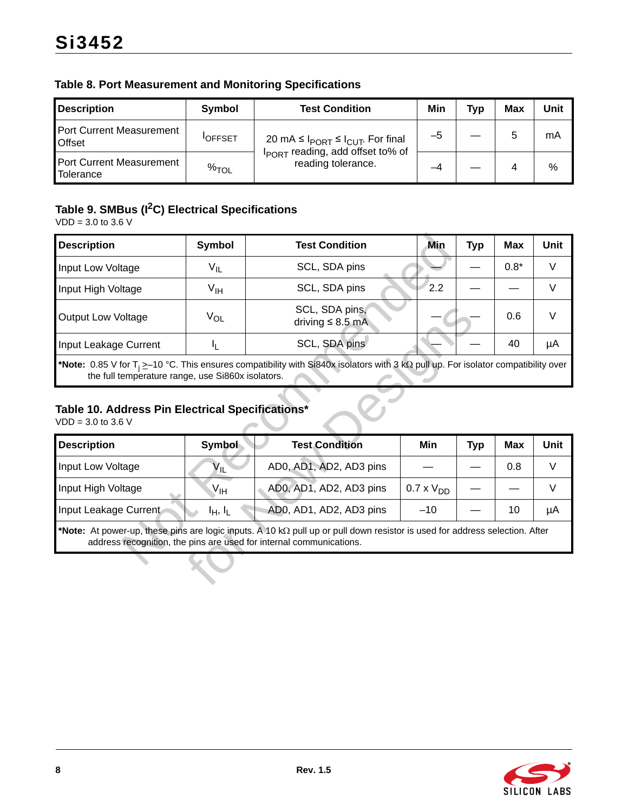| <b>Table 8. Port Measurement and Monitoring Specifications</b> |  |
|----------------------------------------------------------------|--|
|----------------------------------------------------------------|--|

| <b>Description</b>                        | Symbol         | <b>Test Condition</b>                                              | Min | <b>Typ</b> | Max | Unit |
|-------------------------------------------|----------------|--------------------------------------------------------------------|-----|------------|-----|------|
| Port Current Measurement<br><b>Offset</b> | <b>IOFFSET</b> | 20 mA ≤ $I_{PORT}$ ≤ $I_{CUT}$ . For final                         | –ე  |            | 5   | mA   |
| Port Current Measurement<br>Tolerance     | $\%$ TOL       | I <sub>PORT</sub> reading, add offset to% of<br>reading tolerance. | -4  |            |     | %    |

# **Table 9. SMBus (I2C) Electrical Specifications**

VDD = 3.0 to 3.6 V

| <b>Description</b>                                                                             | <b>Symbol</b>   | <b>Test Condition</b>                                                                                                                                                                              | Min                 | <b>Typ</b> | <b>Max</b> | <b>Unit</b> |
|------------------------------------------------------------------------------------------------|-----------------|----------------------------------------------------------------------------------------------------------------------------------------------------------------------------------------------------|---------------------|------------|------------|-------------|
| Input Low Voltage                                                                              | $V_{IL}$        | SCL, SDA pins                                                                                                                                                                                      |                     |            | $0.8*$     | V           |
| Input High Voltage                                                                             | $V_{\text{IH}}$ | SCL, SDA pins                                                                                                                                                                                      | 2.2                 |            |            | V           |
| <b>Output Low Voltage</b>                                                                      | $V_{OL}$        | SCL, SDA pins,<br>driving $\leq 8.5$ mA                                                                                                                                                            |                     |            | 0.6        | $\vee$      |
| Input Leakage Current                                                                          | IL.             | SCL, SDA pins                                                                                                                                                                                      |                     |            | 40         | μA          |
| the full temperature range, use Si860x isolators.                                              |                 | *Note: 0.85 V for T <sub>i</sub> $\geq$ 10 °C. This ensures compatibility with Si840x isolators with 3 kQ pull up. For isolator compatibility over                                                 |                     |            |            |             |
| Table 10. Address Pin Electrical Specifications*<br>$VDD = 3.0$ to 3.6 V<br><b>Description</b> | Symbol          | <b>Test Condition</b>                                                                                                                                                                              | Min                 | <b>Typ</b> | <b>Max</b> | <b>Unit</b> |
| Input Low Voltage                                                                              | $V_{IL}$        | AD0, AD1, AD2, AD3 pins                                                                                                                                                                            |                     |            | 0.8        | $\vee$      |
| Input High Voltage                                                                             | $V_{\text{IH}}$ | AD0, AD1, AD2, AD3 pins                                                                                                                                                                            | $0.7 \times V_{DD}$ |            |            | V           |
| Input Leakage Current                                                                          | $I_H, I_L$      | AD0, AD1, AD2, AD3 pins                                                                                                                                                                            | $-10$               |            | 10         | μA          |
|                                                                                                |                 | *Note: At power-up, these pins are logic inputs. A 10 kΩ pull up or pull down resistor is used for address selection. After<br>address recognition, the pins are used for internal communications. |                     |            |            |             |
|                                                                                                |                 |                                                                                                                                                                                                    |                     |            |            |             |

### **Table 10. Address Pin Electrical Specifications\***

| <b>Output Low Voltage</b>                                                                                                                                                                                | $V_{OL}$        | SCL, SDA pins,<br>driving $\leq 8.5$ mA                                                                                                                                                            |                     |            | 0.6        | $\vee$ |  |  |  |  |  |
|----------------------------------------------------------------------------------------------------------------------------------------------------------------------------------------------------------|-----------------|----------------------------------------------------------------------------------------------------------------------------------------------------------------------------------------------------|---------------------|------------|------------|--------|--|--|--|--|--|
| Input Leakage Current                                                                                                                                                                                    | IL.             | SCL, SDA pins                                                                                                                                                                                      |                     |            | 40         | μA     |  |  |  |  |  |
| *Note: 0.85 V for T <sub>i</sub> $\geq$ –10 °C. This ensures compatibility with Si840x isolators with 3 kQ pull up. For isolator compatibility over<br>the full temperature range, use Si860x isolators. |                 |                                                                                                                                                                                                    |                     |            |            |        |  |  |  |  |  |
| Table 10. Address Pin Electrical Specifications*<br>$VDD = 3.0$ to 3.6 V                                                                                                                                 |                 |                                                                                                                                                                                                    |                     |            |            |        |  |  |  |  |  |
| <b>Description</b>                                                                                                                                                                                       | Symbol          | <b>Test Condition</b>                                                                                                                                                                              | Min                 | <b>Typ</b> | <b>Max</b> | Unit   |  |  |  |  |  |
| Input Low Voltage                                                                                                                                                                                        | $V_{\sf IL}$    | AD0, AD1, AD2, AD3 pins                                                                                                                                                                            |                     |            | 0.8        | V      |  |  |  |  |  |
| Input High Voltage                                                                                                                                                                                       | $V_{\text{IH}}$ | AD0, AD1, AD2, AD3 pins                                                                                                                                                                            | $0.7 \times V_{DD}$ |            |            | $\vee$ |  |  |  |  |  |
| Input Leakage Current                                                                                                                                                                                    | $I_H, I_L$      | AD0, AD1, AD2, AD3 pins                                                                                                                                                                            | $-10$               |            | 10         | μA     |  |  |  |  |  |
|                                                                                                                                                                                                          |                 | *Note: At power-up, these pins are logic inputs. A 10 kΩ pull up or pull down resistor is used for address selection. After<br>address recognition, the pins are used for internal communications. |                     |            |            |        |  |  |  |  |  |
|                                                                                                                                                                                                          |                 |                                                                                                                                                                                                    |                     |            |            |        |  |  |  |  |  |

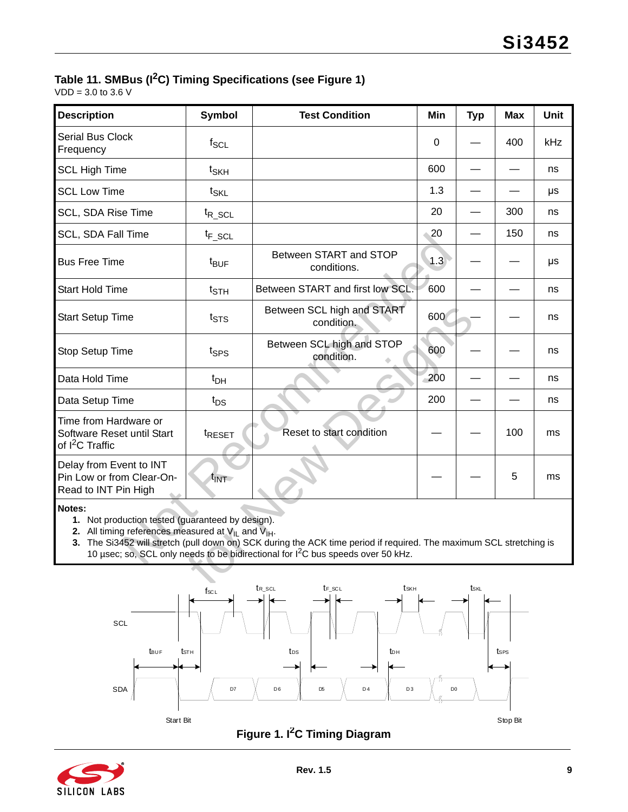# **Table 11. SMBus (I2C) Timing Specifications (see [Figure 1](#page-8-0))**

 $VDD = 3.0$  to 3.6 V

| <b>Description</b>                                                                 | <b>Symbol</b>                                                                                                                                                                                                                                                                                                                           | <b>Test Condition</b>                    | Min         | <b>Typ</b> | <b>Max</b> | <b>Unit</b> |  |  |  |  |
|------------------------------------------------------------------------------------|-----------------------------------------------------------------------------------------------------------------------------------------------------------------------------------------------------------------------------------------------------------------------------------------------------------------------------------------|------------------------------------------|-------------|------------|------------|-------------|--|--|--|--|
| <b>Serial Bus Clock</b><br>Frequency                                               | $f_{SCL}$                                                                                                                                                                                                                                                                                                                               |                                          | $\mathbf 0$ |            | 400        | kHz         |  |  |  |  |
| <b>SCL High Time</b>                                                               | $t_{SKH}$                                                                                                                                                                                                                                                                                                                               |                                          | 600         |            |            | ns          |  |  |  |  |
| <b>SCL Low Time</b>                                                                | $t_{\text{SKL}}$                                                                                                                                                                                                                                                                                                                        |                                          | 1.3         |            |            | μs          |  |  |  |  |
| SCL, SDA Rise Time                                                                 | $t_{R\_SCL}$                                                                                                                                                                                                                                                                                                                            |                                          | 20          |            | 300        | ns          |  |  |  |  |
| <b>SCL, SDA Fall Time</b>                                                          | $t_{F\_SCL}$                                                                                                                                                                                                                                                                                                                            |                                          | 20          |            | 150        | ns          |  |  |  |  |
| <b>Bus Free Time</b>                                                               | $t_{\text{BUF}}$                                                                                                                                                                                                                                                                                                                        | Between START and STOP<br>conditions.    | 1.3         |            |            | μs          |  |  |  |  |
| <b>Start Hold Time</b>                                                             | $t_{\scriptstyle\text{STH}}$                                                                                                                                                                                                                                                                                                            | Between START and first low SCL.         | 600         |            |            | ns          |  |  |  |  |
| <b>Start Setup Time</b>                                                            | $t_{\text{STS}}$                                                                                                                                                                                                                                                                                                                        | Between SCL high and START<br>condition. | 600         |            |            | ns          |  |  |  |  |
| Stop Setup Time                                                                    | t <sub>SPS</sub>                                                                                                                                                                                                                                                                                                                        | Between SCL high and STOP<br>condition.  | 600         |            |            | ns          |  |  |  |  |
| Data Hold Time                                                                     | $t_{DH}$                                                                                                                                                                                                                                                                                                                                |                                          | 200         |            |            | ns          |  |  |  |  |
| Data Setup Time                                                                    | $t_{DS}$                                                                                                                                                                                                                                                                                                                                |                                          | 200         |            |            | ns          |  |  |  |  |
| Time from Hardware or<br>Software Reset until Start<br>of I <sup>2</sup> C Traffic | t <sub>RESET</sub>                                                                                                                                                                                                                                                                                                                      | Reset to start condition                 |             |            | 100        | ms          |  |  |  |  |
| Delay from Event to INT<br>Pin Low or from Clear-On-<br>Read to INT Pin High       | $t_{\text{INT}}$                                                                                                                                                                                                                                                                                                                        |                                          |             |            | 5          | ms          |  |  |  |  |
| Notes:                                                                             | 1. Not production tested (guaranteed by design).<br>2. All timing references measured at $V_{IL}$ and $V_{IH}$ .<br>3. The Si3452 will stretch (pull down on) SCK during the ACK time period if required. The maximum SCL stretching is<br>10 µsec; so, SCL only needs to be bidirectional for I <sup>2</sup> C bus speeds over 50 kHz. |                                          |             |            |            |             |  |  |  |  |
|                                                                                    |                                                                                                                                                                                                                                                                                                                                         |                                          |             |            |            |             |  |  |  |  |

#### **Notes:**





<span id="page-8-0"></span>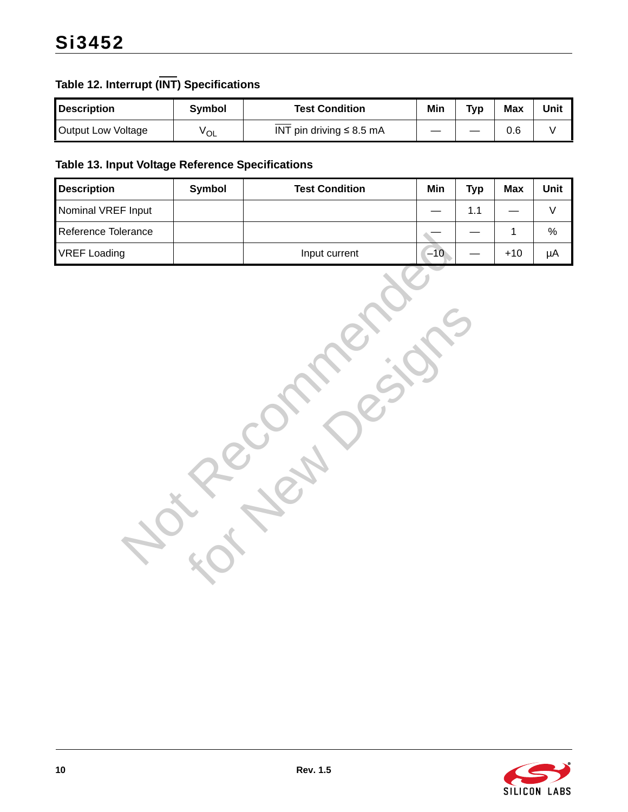# **Table 12. Interrupt (INT) Specifications**

| <b>Description</b> | Svmbol          | Test Condition                | Min | <b>Typ</b> | <b>Max</b> | Unit |
|--------------------|-----------------|-------------------------------|-----|------------|------------|------|
| Output Low Voltage | <sup>V</sup> OL | INT pin driving $\leq 8.5$ mA |     |            | 0.6        |      |

### **Table 13. Input Voltage Reference Specifications**

| <b>Description</b>  | Symbol | <b>Test Condition</b> | Min   | <b>Typ</b> | <b>Max</b>  | Unit        |
|---------------------|--------|-----------------------|-------|------------|-------------|-------------|
| Nominal VREF Input  |        |                       |       | $1.1$      |             | $\mathsf V$ |
| Reference Tolerance |        |                       |       |            | $\mathbf 1$ | $\%$        |
| <b>VREF Loading</b> |        | Input current         | $-10$ |            | $+10$       | $\mu A$     |
|                     |        |                       |       |            |             |             |

for New Designs

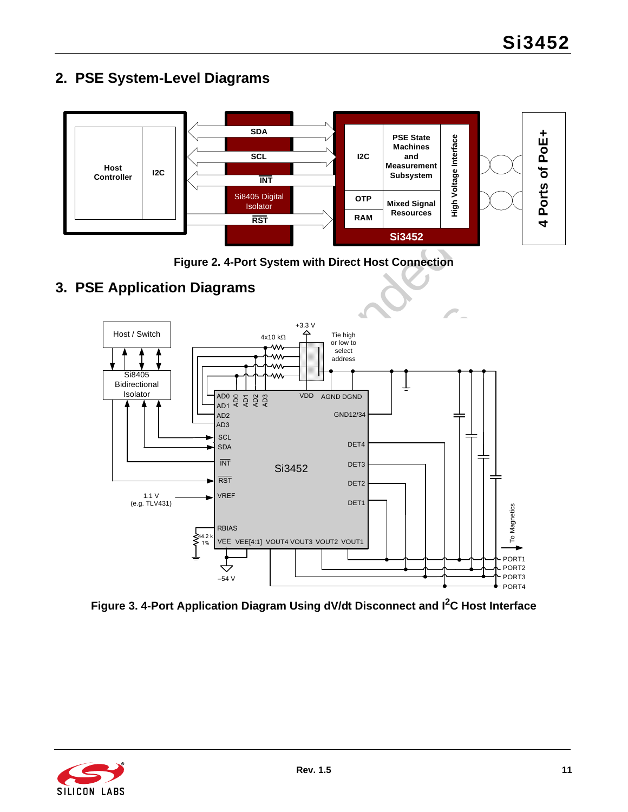<span id="page-10-0"></span>



**Figure 2. 4-Port System with Direct Host Connection**

# <span id="page-10-1"></span>**3. PSE Application Diagrams**





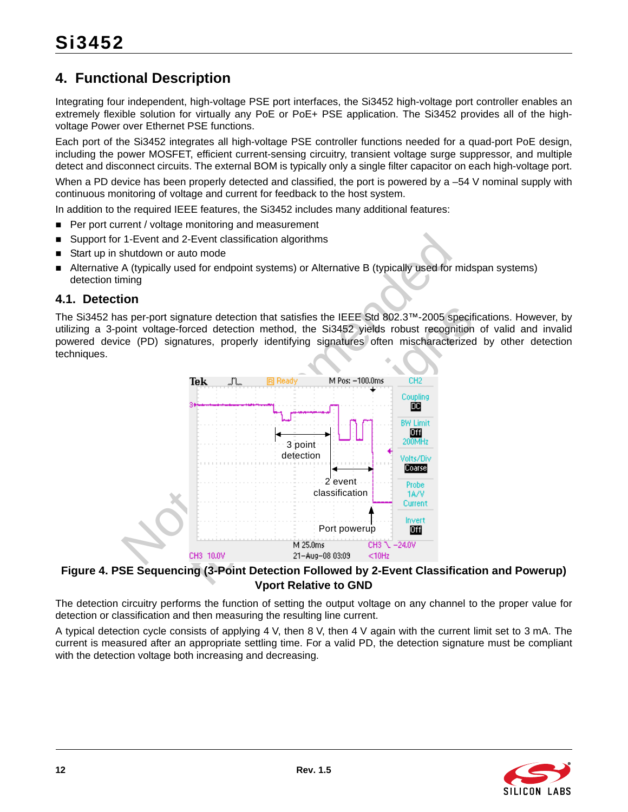# <span id="page-11-0"></span>**4. Functional Description**

Integrating four independent, high-voltage PSE port interfaces, the Si3452 high-voltage port controller enables an extremely flexible solution for virtually any PoE or PoE+ PSE application. The Si3452 provides all of the highvoltage Power over Ethernet PSE functions.

Each port of the Si3452 integrates all high-voltage PSE controller functions needed for a quad-port PoE design, including the power MOSFET, efficient current-sensing circuitry, transient voltage surge suppressor, and multiple detect and disconnect circuits. The external BOM is typically only a single filter capacitor on each high-voltage port.

When a PD device has been properly detected and classified, the port is powered by a –54 V nominal supply with continuous monitoring of voltage and current for feedback to the host system.

In addition to the required IEEE features, the Si3452 includes many additional features:

- Per port current / voltage monitoring and measurement
- Support for 1-Event and 2-Event classification algorithms
- Start up in shutdown or auto mode
- Alternative A (typically used for endpoint systems) or Alternative B (typically used for midspan systems) detection timing

#### <span id="page-11-1"></span>**4.1. Detection**

The Si3452 has per-port signature detection that satisfies the IEEE Std 802.3™-2005 specifications. However, by utilizing a 3-point voltage-forced detection method, the Si3452 yields robust recognition of valid and invalid powered device (PD) signatures, properly identifying signatures often mischaracterized by other detection techniques.



### **Figure 4. PSE Sequencing (3-Point Detection Followed by 2-Event Classification and Powerup) Vport Relative to GND**

The detection circuitry performs the function of setting the output voltage on any channel to the proper value for detection or classification and then measuring the resulting line current.

A typical detection cycle consists of applying 4 V, then 8 V, then 4 V again with the current limit set to 3 mA. The current is measured after an appropriate settling time. For a valid PD, the detection signature must be compliant with the detection voltage both increasing and decreasing.

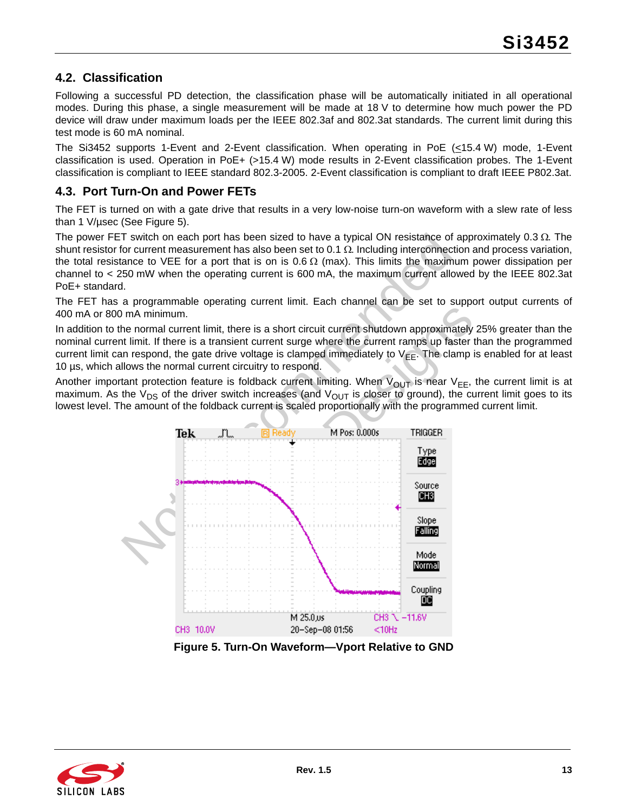### <span id="page-12-0"></span>**4.2. Classification**

Following a successful PD detection, the classification phase will be automatically initiated in all operational modes. During this phase, a single measurement will be made at 18 V to determine how much power the PD device will draw under maximum loads per the IEEE 802.3af and 802.3at standards. The current limit during this test mode is 60 mA nominal.

The Si3452 supports 1-Event and 2-Event classification. When operating in PoE (<15.4 W) mode, 1-Event classification is used. Operation in PoE+ (>15.4 W) mode results in 2-Event classification probes. The 1-Event classification is compliant to IEEE standard 802.3-2005. 2-Event classification is compliant to draft IEEE P802.3at.

### <span id="page-12-1"></span>**4.3. Port Turn-On and Power FETs**

The FET is turned on with a gate drive that results in a very low-noise turn-on waveform with a slew rate of less than 1 V/µsec (See [Figure 5\)](#page-12-2).

The power FET switch on each port has been sized to have a typical ON resistance of approximately  $0.3 \Omega$ . The shunt resistor for current measurement has also been set to 0.1  $\Omega$ . Including interconnection and process variation, the total resistance to VEE for a port that is on is 0.6  $\Omega$  (max). This limits the maximum power dissipation per channel to < 250 mW when the operating current is 600 mA, the maximum current allowed by the IEEE 802.3at PoE+ standard.

The FET has a programmable operating current limit. Each channel can be set to support output currents of 400 mA or 800 mA minimum.

In addition to the normal current limit, there is a short circuit current shutdown approximately 25% greater than the nominal current limit. If there is a transient current surge where the current ramps up faster than the programmed current limit can respond, the gate drive voltage is clamped immediately to  $V_{FF}$ . The clamp is enabled for at least 10 µs, which allows the normal current circuitry to respond.

Another important protection feature is foldback current limiting. When  $V_{OUT}$  is near  $V_{EE}$ , the current limit is at maximum. As the  $V_{DS}$  of the driver switch increases (and  $V_{OUT}$  is closer to ground), the current limit goes to its lowest level. The amount of the foldback current is scaled proportionally with the programmed current limit.



**Figure 5. Turn-On Waveform—Vport Relative to GND**

<span id="page-12-2"></span>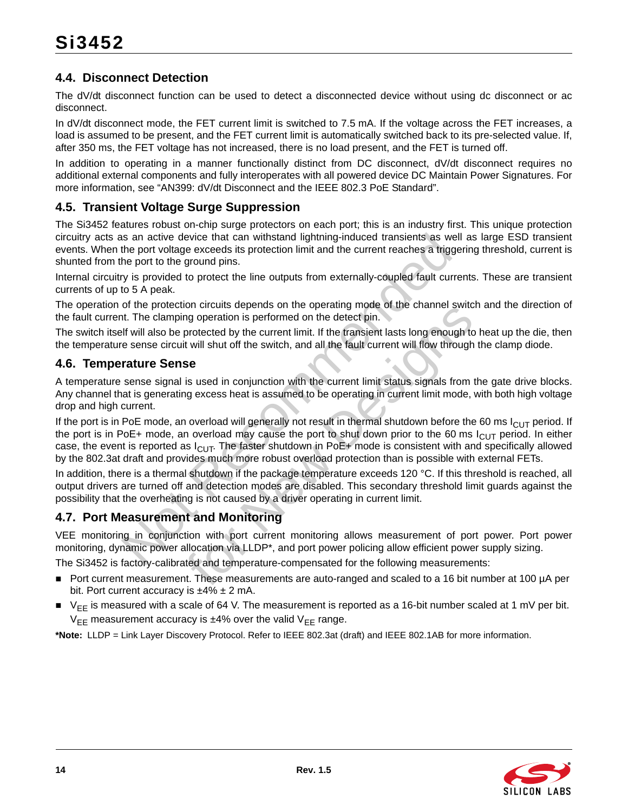# <span id="page-13-0"></span>**4.4. Disconnect Detection**

The dV/dt disconnect function can be used to detect a disconnected device without using dc disconnect or ac disconnect.

In dV/dt disconnect mode, the FET current limit is switched to 7.5 mA. If the voltage across the FET increases, a load is assumed to be present, and the FET current limit is automatically switched back to its pre-selected value. If, after 350 ms, the FET voltage has not increased, there is no load present, and the FET is turned off.

In addition to operating in a manner functionally distinct from DC disconnect, dV/dt disconnect requires no additional external components and fully interoperates with all powered device DC Maintain Power Signatures. For more information, see "AN399: dV/dt Disconnect and the IEEE 802.3 PoE Standard".

### <span id="page-13-1"></span>**4.5. Transient Voltage Surge Suppression**

The Si3452 features robust on-chip surge protectors on each port; this is an industry first. This unique protection circuitry acts as an active device that can withstand lightning-induced transients as well as large ESD transient events. When the port voltage exceeds its protection limit and the current reaches a triggering threshold, current is shunted from the port to the ground pins.

Internal circuitry is provided to protect the line outputs from externally-coupled fault currents. These are transient currents of up to 5 A peak.

The operation of the protection circuits depends on the operating mode of the channel switch and the direction of the fault current. The clamping operation is performed on the detect pin.

The switch itself will also be protected by the current limit. If the transient lasts long enough to heat up the die, then the temperature sense circuit will shut off the switch, and all the fault current will flow through the clamp diode.

### <span id="page-13-2"></span>**4.6. Temperature Sense**

A temperature sense signal is used in conjunction with the current limit status signals from the gate drive blocks. Any channel that is generating excess heat is assumed to be operating in current limit mode, with both high voltage drop and high current.

as an active device that can withstand lightning-induced transients as we<br>the port voltage exceeds its protection limit and the current reaches a trigg<br>the port to the ground pins.<br>They be provided to protect the line out for circuits depends on the operating mode of the channel switch<br>graperation is performed on the detect pin.<br>the fraction is performed on the detect pin.<br>t will shut off the switch, and all the fault current will flow thr If the port is in PoE mode, an overload will generally not result in thermal shutdown before the 60 ms  $I_{ClJT}$  period. If the port is in PoE+ mode, an overload may cause the port to shut down prior to the 60 ms  $I_{\text{Cl}}$  period. In either case, the event is reported as  $I_{ClIT}$ . The faster shutdown in PoE+ mode is consistent with and specifically allowed by the 802.3at draft and provides much more robust overload protection than is possible with external FETs.

In addition, there is a thermal shutdown if the package temperature exceeds 120 °C. If this threshold is reached, all output drivers are turned off and detection modes are disabled. This secondary threshold limit guards against the possibility that the overheating is not caused by a driver operating in current limit.

### <span id="page-13-3"></span>**4.7. Port Measurement and Monitoring**

VEE monitoring in conjunction with port current monitoring allows measurement of port power. Port power monitoring, dynamic power allocation via LLDP\*, and port power policing allow efficient power supply sizing.

The Si3452 is factory-calibrated and temperature-compensated for the following measurements:

- Port current measurement. These measurements are auto-ranged and scaled to a 16 bit number at 100 µA per bit. Port current accuracy is  $\pm 4\% \pm 2$  mA.
- $\blacktriangleright$  V<sub>FF</sub> is measured with a scale of 64 V. The measurement is reported as a 16-bit number scaled at 1 mV per bit.  $V_{FF}$  measurement accuracy is  $\pm 4\%$  over the valid  $V_{FF}$  range.

**\*Note:** LLDP = Link Layer Discovery Protocol. Refer to IEEE 802.3at (draft) and IEEE 802.1AB for more information.

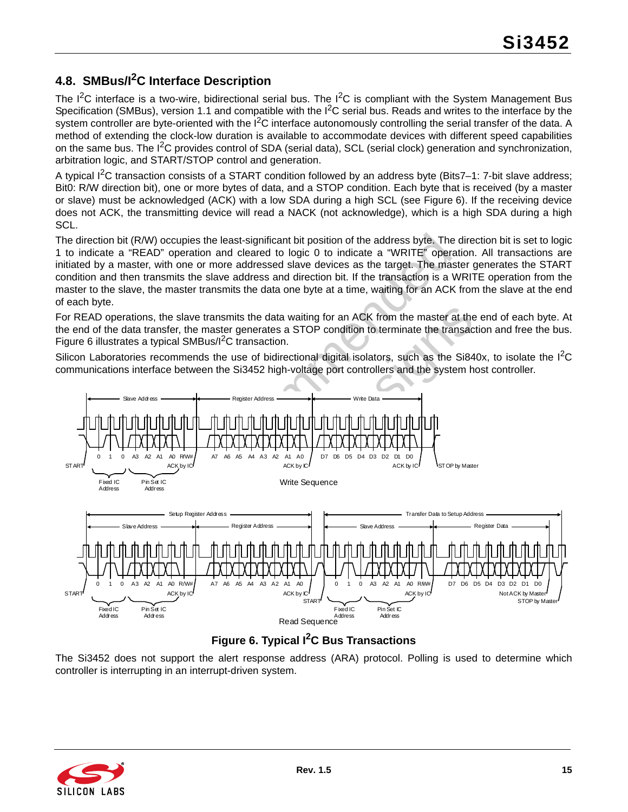# <span id="page-14-0"></span>**4.8. SMBus/I2C Interface Description**

The  $I^2C$  interface is a two-wire, bidirectional serial bus. The  $I^2C$  is compliant with the System Management Bus Specification (SMBus), version 1.1 and compatible with the  $I<sup>2</sup>C$  serial bus. Reads and writes to the interface by the system controller are byte-oriented with the  $I^2C$  interface autonomously controlling the serial transfer of the data. A method of extending the clock-low duration is available to accommodate devices with different speed capabilities on the same bus. The  $I^2C$  provides control of SDA (serial data), SCL (serial clock) generation and synchronization, arbitration logic, and START/STOP control and generation.

A typical  $I^2C$  transaction consists of a START condition followed by an address byte (Bits7–1: 7-bit slave address; Bit0: R/W direction bit), one or more bytes of data, and a STOP condition. Each byte that is received (by a master or slave) must be acknowledged (ACK) with a low SDA during a high SCL (see [Figure 6](#page-14-1)). If the receiving device does not ACK, the transmitting device will read a NACK (not acknowledge), which is a high SDA during a high SCL.

The direction bit (R/W) occupies the least-significant bit position of the address byte. The direction bit is set to logic 1 to indicate a "READ" operation and cleared to logic 0 to indicate a "WRITE" operation. All transactions are initiated by a master, with one or more addressed slave devices as the target. The master generates the START condition and then transmits the slave address and direction bit. If the transaction is a WRITE operation from the master to the slave, the master transmits the data one byte at a time, waiting for an ACK from the slave at the end of each byte.

For READ operations, the slave transmits the data waiting for an ACK from the master at the end of each byte. At the end of the data transfer, the master generates a STOP condition to terminate the transaction and free the bus. [Figure 6](#page-14-1) illustrates a typical SMBus/I<sup>2</sup>C transaction.

Silicon Laboratories recommends the use of bidirectional digital isolators, such as the Si840x, to isolate the  ${}^{12}C$ communications interface between the Si3452 high-voltage port controllers and the system host controller.



### **Figure 6. Typical I2C Bus Transactions**

<span id="page-14-1"></span>The Si3452 does not support the alert response address (ARA) protocol. Polling is used to determine which controller is interrupting in an interrupt-driven system.

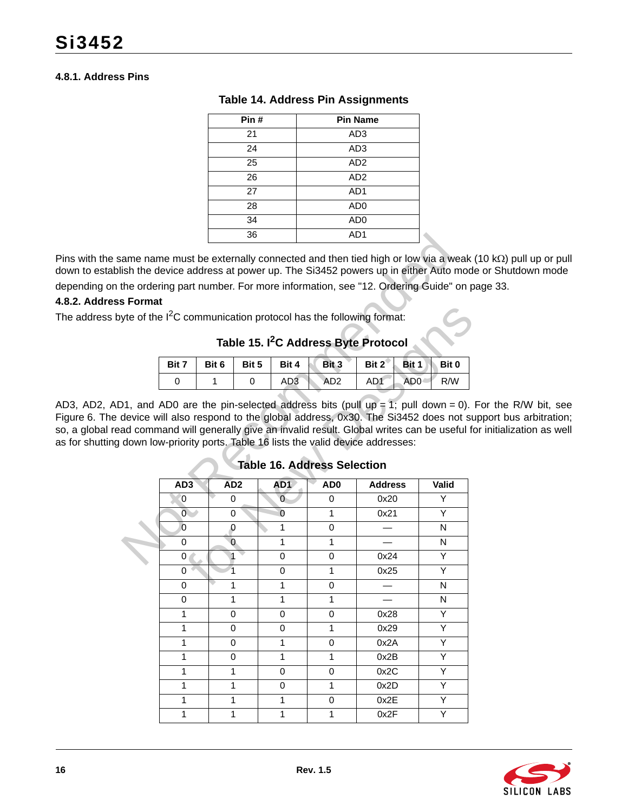#### **4.8.1. Address Pins**

| Pin# | <b>Pin Name</b> |
|------|-----------------|
| 21   | AD <sub>3</sub> |
| 24   | AD <sub>3</sub> |
| 25   | AD <sub>2</sub> |
| 26   | AD <sub>2</sub> |
| 27   | AD <sub>1</sub> |
| 28   | AD <sub>0</sub> |
| 34   | AD <sub>0</sub> |
| 36   | AD <sub>1</sub> |

#### **Table 14. Address Pin Assignments**

Pins with the same name must be externally connected and then tied high or low via a weak (10 k $\Omega$ ) pull up or pull down to establish the device address at power up. The Si3452 powers up in either Auto mode or Shutdown mode depending on the ordering part number. For more information, see ["12. Ordering Guide" on page 33](#page-32-0).

#### **4.8.2. Address Format**

The address byte of the  $1^2C$  communication protocol has the following format:

# **Table 15. I2C Address Byte Protocol**

|  |  | Bit 7   Bit 6   Bit 5   Bit 4   Bit 3   Bit 2   Bit 1   Bit 0 |  |  |
|--|--|---------------------------------------------------------------|--|--|
|  |  | AD3 AD2 AD1 AD0 R/W                                           |  |  |

<span id="page-15-0"></span>AD3, AD2, AD1, and AD0 are the pin-selected address bits (pull up = 1; pull down = 0). For the R/W bit, see [Figure 6.](#page-14-1) The device will also respond to the global address, 0x30. The Si3452 does not support bus arbitration; so, a global read command will generally give an invalid result. Global writes can be useful for initialization as well as for shutting down low-priority ports. Table 16 lists the valid device addresses:

|          |                   |                 | 36    |                   |                                    | AD1                                                                                                                                                        |           |
|----------|-------------------|-----------------|-------|-------------------|------------------------------------|------------------------------------------------------------------------------------------------------------------------------------------------------------|-----------|
|          |                   |                 |       |                   |                                    | ame name must be externally connected and then tied high or low via a weak<br>lish the device address at power up. The Si3452 powers up in either Auto mod |           |
|          |                   |                 |       |                   |                                    | the ordering part number. For more information, see "12. Ordering Guide" on p                                                                              |           |
| s Format |                   |                 |       |                   |                                    |                                                                                                                                                            |           |
|          |                   |                 |       |                   |                                    | yte of the $I^2C$ communication protocol has the following format:                                                                                         |           |
|          |                   |                 |       |                   |                                    | Table 15. I <sup>2</sup> C Address Byte Protocol                                                                                                           |           |
|          | Bit 7             | Bit 6           | Bit 5 | Bit 4             | Bit 3                              | Bit 1<br>Bit $2^{\circ}$                                                                                                                                   | Bit 0     |
|          | 0                 | 1               | 0     | AD <sub>3</sub>   | AD <sub>2</sub>                    | AD1<br>AD <sub>0</sub>                                                                                                                                     | R/W       |
|          |                   |                 |       |                   | <b>Table 16. Address Selection</b> | ad command will generally give an invalid result. Global writes can be useful fo<br>down low-priority ports. Table 16 lists the valid device addresses:    |           |
|          |                   |                 |       |                   |                                    |                                                                                                                                                            |           |
|          | AD <sub>3</sub>   | AD <sub>2</sub> |       | AD <sub>1</sub>   | AD <sub>0</sub>                    | <b>Address</b>                                                                                                                                             | Valid     |
|          | 0                 | 0               |       | $\Omega$          | 0                                  | 0x20                                                                                                                                                       | Y         |
|          | $\overline{0}$    | 0               |       | $\Omega$          | 1                                  | 0x21                                                                                                                                                       | Y         |
|          | $\overline{0}$    | 0               |       | 1                 | 0                                  |                                                                                                                                                            | N         |
|          | 0                 | 0               |       | 1                 | 1                                  |                                                                                                                                                            | N         |
|          | 0                 | 1               |       | 0                 | 0                                  | 0x24                                                                                                                                                       | Y         |
|          | 0                 | $\overline{1}$  |       | 0                 | 1                                  | 0x25                                                                                                                                                       | Y         |
|          | 0                 | 1               |       | 1                 | 0                                  |                                                                                                                                                            | N         |
|          | $\mathsf 0$       | 1               |       | $\mathbf{1}$      | 1                                  |                                                                                                                                                            | ${\sf N}$ |
|          | 1                 | 0               |       | 0                 | 0                                  | 0x28                                                                                                                                                       | Υ         |
|          | 1                 | 0               |       | 0                 | 1                                  | 0x29                                                                                                                                                       | Υ         |
|          | 1                 | $\mathbf 0$     |       | 1                 | 0                                  | 0x2A                                                                                                                                                       | Y         |
|          | $\mathbf{1}$      | 0               |       | 1                 | 1                                  | 0x2B                                                                                                                                                       | Y         |
|          | $\mathbf{1}$      | 1               |       | 0                 | 0                                  | 0x2C                                                                                                                                                       | Υ         |
|          | $\mathbf{1}$      | 1               |       | 0                 | 1                                  | 0x2D                                                                                                                                                       | Υ         |
|          | 1<br>$\mathbf{1}$ | 1               |       | 1<br>$\mathbf{1}$ | 0                                  | 0x2E<br>0x2F                                                                                                                                               | Y<br>Υ    |

### **Table 16. Address Selection**

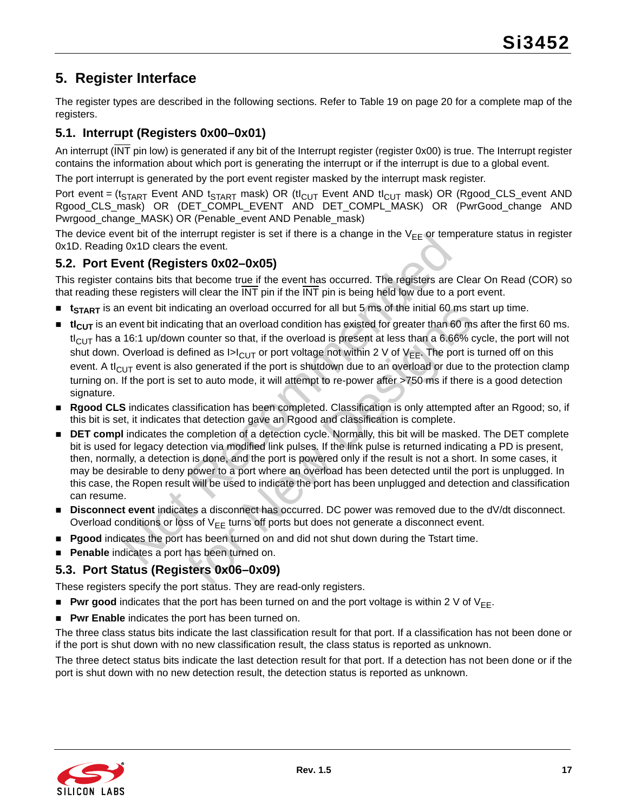# <span id="page-16-0"></span>**5. Register Interface**

The register types are described in the following sections. Refer to [Table 19 on page 20](#page-19-0) for a complete map of the registers.

# <span id="page-16-1"></span>**5.1. Interrupt (Registers 0x00–0x01)**

An interrupt (INT pin low) is generated if any bit of the Interrupt register (register 0x00) is true. The Interrupt register contains the information about which port is generating the interrupt or if the interrupt is due to a global event.

The port interrupt is generated by the port event register masked by the interrupt mask register.

Port event = (t<sub>START</sub> Event AND t<sub>START</sub> mask) OR (tI<sub>CUT</sub> Event AND tI<sub>CUT</sub> mask) OR (Rgood\_CLS\_event AND Rgood\_CLS\_mask) OR (DET\_COMPL\_EVENT AND DET\_COMPL\_MASK) OR (PwrGood\_change AND Pwrgood change MASK) OR (Penable event AND Penable mask)

The device event bit of the interrupt register is set if there is a change in the  $V_{FF}$  or temperature status in register 0x1D. Reading 0x1D clears the event.

### <span id="page-16-2"></span>**5.2. Port Event (Registers 0x02–0x05)**

This register contains bits that become true if the event has occurred. The registers are Clear On Read (COR) so that reading these registers will clear the INT pin if the INT pin is being held low due to a port event.

- **t** t<sub>START</sub> is an event bit indicating an overload occurred for all but 5 ms of the initial 60 ms start up time.
- ent bit of the interrupt register is set if there is a change in the V<sub>EE</sub> of tem<br>give that of the interrupt register is set if the event has occurred. The registers are<br>see registers **OxO2-OxO5)**<br>ontains bits that become icating an overload cocurred for all but 5 ms of the initial 60 ms s<br>tating that an overload condition has existed for greater than 60 ms<br>counter so that, if the overload is present at less than a 6.66% of<br>efined as  $|x|_{$ **ti**<sub>CUT</sub> is an event bit indicating that an overload condition has existed for greater than 60 ms after the first 60 ms.  $tl_{ClJT}$  has a 16:1 up/down counter so that, if the overload is present at less than a 6.66% cycle, the port will not shut down. Overload is defined as  $|>|_{\text{CUT}}$  or port voltage not within 2 V of V<sub>EE</sub>. The port is turned off on this event. A t $I_{\text{CUT}}$  event is also generated if the port is shutdown due to an overload or due to the protection clamp turning on. If the port is set to auto mode, it will attempt to re-power after >750 ms if there is a good detection signature.
- **Rgood CLS** indicates classification has been completed. Classification is only attempted after an Rgood; so, if this bit is set, it indicates that detection gave an Rgood and classification is complete.
- **DET compl** indicates the completion of a detection cycle. Normally, this bit will be masked. The DET complete bit is used for legacy detection via modified link pulses. If the link pulse is returned indicating a PD is present, then, normally, a detection is done, and the port is powered only if the result is not a short. In some cases, it may be desirable to deny power to a port where an overload has been detected until the port is unplugged. In this case, the Ropen result will be used to indicate the port has been unplugged and detection and classification can resume.
- **Disconnect event** indicates a disconnect has occurred. DC power was removed due to the dV/dt disconnect. Overload conditions or loss of  $V_{EE}$  turns off ports but does not generate a disconnect event.
- **Pgood** indicates the port has been turned on and did not shut down during the Tstart time.
- **Penable** indicates a port has been turned on.

### <span id="page-16-3"></span>**5.3. Port Status (Registers 0x06–0x09)**

These registers specify the port status. They are read-only registers.

- **Pwr good** indicates that the port has been turned on and the port voltage is within 2 V of  $V_{FF}$ .
- **Pwr Enable** indicates the port has been turned on.

The three class status bits indicate the last classification result for that port. If a classification has not been done or if the port is shut down with no new classification result, the class status is reported as unknown.

The three detect status bits indicate the last detection result for that port. If a detection has not been done or if the port is shut down with no new detection result, the detection status is reported as unknown.

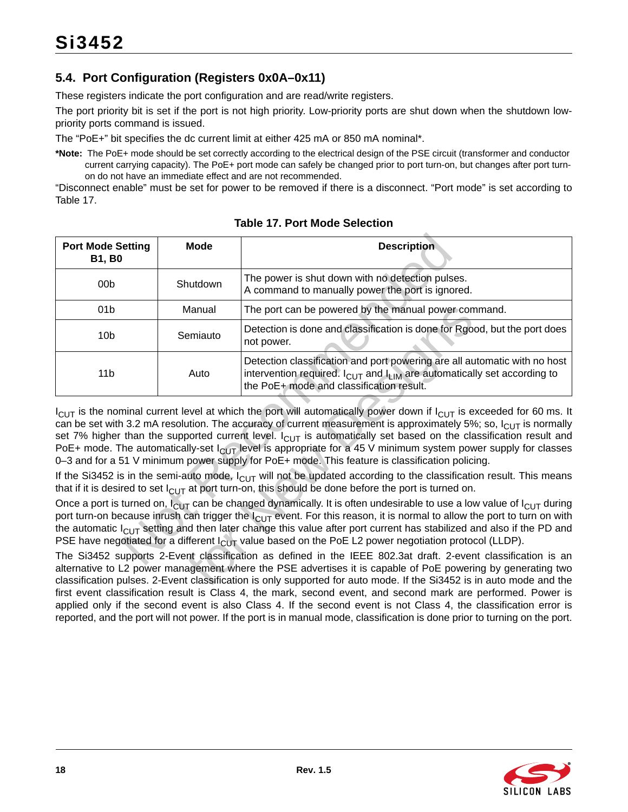# <span id="page-17-0"></span>**5.4. Port Configuration (Registers 0x0A–0x11)**

These registers indicate the port configuration and are read/write registers.

The port priority bit is set if the port is not high priority. Low-priority ports are shut down when the shutdown lowpriority ports command is issued.

The "PoE+" bit specifies the dc current limit at either 425 mA or 850 mA nominal\*.

**\*Note:** The PoE+ mode should be set correctly according to the electrical design of the PSE circuit (transformer and conductor current carrying capacity). The PoE+ port mode can safely be changed prior to port turn-on, but changes after port turnon do not have an immediate effect and are not recommended.

"Disconnect enable" must be set for power to be removed if there is a disconnect. "Port mode" is set according to [Table 17.](#page-17-1)

<span id="page-17-1"></span>

| <b>Port Mode Setting</b><br><b>B1, B0</b>                                                                                                                                                                                                                                                                                                                                                                                                                                                                                 | Mode                                                           | <b>Description</b>                                                                                                                                                                                                                                                                                                                                                                                                                                                                                                                                                                                            |  |  |  |  |  |
|---------------------------------------------------------------------------------------------------------------------------------------------------------------------------------------------------------------------------------------------------------------------------------------------------------------------------------------------------------------------------------------------------------------------------------------------------------------------------------------------------------------------------|----------------------------------------------------------------|---------------------------------------------------------------------------------------------------------------------------------------------------------------------------------------------------------------------------------------------------------------------------------------------------------------------------------------------------------------------------------------------------------------------------------------------------------------------------------------------------------------------------------------------------------------------------------------------------------------|--|--|--|--|--|
| 00 <sub>b</sub>                                                                                                                                                                                                                                                                                                                                                                                                                                                                                                           | Shutdown                                                       | The power is shut down with no detection pulses.<br>A command to manually power the port is ignored.                                                                                                                                                                                                                                                                                                                                                                                                                                                                                                          |  |  |  |  |  |
| 01 <sub>b</sub>                                                                                                                                                                                                                                                                                                                                                                                                                                                                                                           | Manual<br>The port can be powered by the manual power command. |                                                                                                                                                                                                                                                                                                                                                                                                                                                                                                                                                                                                               |  |  |  |  |  |
| Detection is done and classification is done for Rgood, but the port does<br>10 <sub>b</sub><br>Semiauto<br>not power.                                                                                                                                                                                                                                                                                                                                                                                                    |                                                                |                                                                                                                                                                                                                                                                                                                                                                                                                                                                                                                                                                                                               |  |  |  |  |  |
| Detection classification and port powering are all automatic with no host<br>intervention required. $I_{\text{CUT}}$ and $I_{\text{LIM}}$ are automatically set according to<br>11 <sub>b</sub><br>Auto<br>the PoE+ mode and classification result.                                                                                                                                                                                                                                                                       |                                                                |                                                                                                                                                                                                                                                                                                                                                                                                                                                                                                                                                                                                               |  |  |  |  |  |
|                                                                                                                                                                                                                                                                                                                                                                                                                                                                                                                           |                                                                | $I_{ClIT}$ is the nominal current level at which the port will automatically power down if $I_{ClIT}$ is exceeded for 60 ms. It<br>can be set with 3.2 mA resolution. The accuracy of current measurement is approximately 5%; so, $I_{ClJT}$ is normally<br>set 7% higher than the supported current level. $I_{ClIT}$ is automatically set based on the classification result and<br>PoE+ mode. The automatically-set $I_{ClUT}$ level is appropriate for a 45 V minimum system power supply for classes<br>0-3 and for a 51 V minimum power supply for PoE+ mode. This feature is classification policing. |  |  |  |  |  |
|                                                                                                                                                                                                                                                                                                                                                                                                                                                                                                                           |                                                                | If the Si3452 is in the semi-auto mode, $I_{ClJT}$ will not be updated according to the classification result. This means<br>that if it is desired to set $I_{ClIT}$ at port turn-on, this should be done before the port is turned on.                                                                                                                                                                                                                                                                                                                                                                       |  |  |  |  |  |
| Once a port is turned on, $I_{ClJ}$ can be changed dynamically. It is often undesirable to use a low value of $I_{ClJ}$ during<br>port turn-on because inrush can trigger the l <sub>CUT</sub> event. For this reason, it is normal to allow the port to turn on with<br>the automatic $I_{ClJT}$ setting and then later change this value after port current has stabilized and also if the PD and<br>PSE have negotiated for a different $I_{\text{ClUT}}$ value based on the PoE L2 power negotiation protocol (LLDP). |                                                                |                                                                                                                                                                                                                                                                                                                                                                                                                                                                                                                                                                                                               |  |  |  |  |  |
| The Si3452 supports 2-Event classification as defined in the IEEE 802.3at draft. 2-event classification is an<br>alternative to L2 power management where the PSE advertises it is capable of PoE powering by generating two<br>classification pulses. 2-Event classification is only supported for auto mode. If the Si3452 is in auto mode and the                                                                                                                                                                      |                                                                |                                                                                                                                                                                                                                                                                                                                                                                                                                                                                                                                                                                                               |  |  |  |  |  |

<span id="page-17-2"></span>**Table 17. Port Mode Selection**

The Si3452 supports 2-Event classification as defined in the IEEE 802.3at draft. 2-event classification is an alternative to L2 power management where the PSE advertises it is capable of PoE powering by generating two classification pulses. 2-Event classification is only supported for auto mode. If the Si3452 is in auto mode and the first event classification result is Class 4, the mark, second event, and second mark are performed. Power is applied only if the second event is also Class 4. If the second event is not Class 4, the classification error is reported, and the port will not power. If the port is in manual mode, classification is done prior to turning on the port.

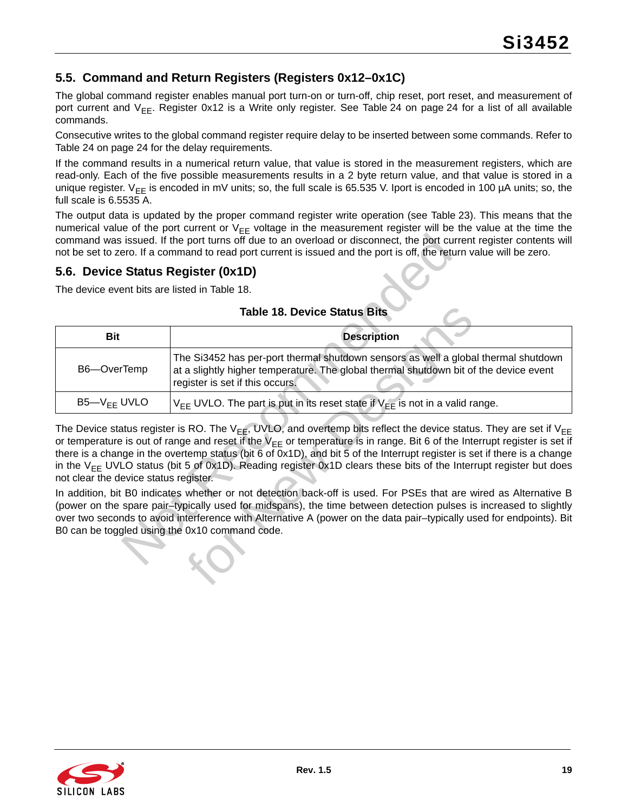# <span id="page-18-0"></span>**5.5. Command and Return Registers (Registers 0x12–0x1C)**

The global command register enables manual port turn-on or turn-off, chip reset, port reset, and measurement of port current and  $V_{FF}$ . Register 0x12 is a Write only register. See [Table 24 on page 24](#page-23-0) for a list of all available commands.

Consecutive writes to the global command register require delay to be inserted between some commands. Refer to [Table 24 on page 24](#page-23-0) for the delay requirements.

If the command results in a numerical return value, that value is stored in the measurement registers, which are read-only. Each of the five possible measurements results in a 2 byte return value, and that value is stored in a unique register.  $V_{FF}$  is encoded in mV units; so, the full scale is 65.535 V. Iport is encoded in 100 µA units; so, the full scale is 6.5535 A.

The output data is updated by the proper command register write operation (see [Table 23](#page-23-1)). This means that the numerical value of the port current or  $V_{FF}$  voltage in the measurement register will be the value at the time the command was issued. If the port turns off due to an overload or disconnect, the port current register contents will not be set to zero. If a command to read port current is issued and the port is off, the return value will be zero.

### <span id="page-18-2"></span><span id="page-18-1"></span>**5.6. Device Status Register (0x1D)**

<span id="page-18-3"></span>

| <b>Table 18. Device Status Bits</b> |  |  |  |  |  |
|-------------------------------------|--|--|--|--|--|
|-------------------------------------|--|--|--|--|--|

|                                               | command was issued. If the port turns off due to an overload or disconnect, the port current register contents will<br>not be set to zero. If a command to read port current is issued and the port is off, the return value will be zero.                                                                                                                                                                                                                                                                                           |
|-----------------------------------------------|--------------------------------------------------------------------------------------------------------------------------------------------------------------------------------------------------------------------------------------------------------------------------------------------------------------------------------------------------------------------------------------------------------------------------------------------------------------------------------------------------------------------------------------|
| 5.6. Device Status Register (0x1D)            |                                                                                                                                                                                                                                                                                                                                                                                                                                                                                                                                      |
| The device event bits are listed in Table 18. |                                                                                                                                                                                                                                                                                                                                                                                                                                                                                                                                      |
|                                               | <b>Table 18. Device Status Bits</b>                                                                                                                                                                                                                                                                                                                                                                                                                                                                                                  |
| <b>Bit</b>                                    | <b>Description</b>                                                                                                                                                                                                                                                                                                                                                                                                                                                                                                                   |
| B6-OverTemp                                   | The Si3452 has per-port thermal shutdown sensors as well a global thermal shutdown<br>at a slightly higher temperature. The global thermal shutdown bit of the device event<br>register is set if this occurs.                                                                                                                                                                                                                                                                                                                       |
| $B5 - V_{EE}$ UVLO                            | $V_{FF}$ UVLO. The part is put in its reset state if $V_{FF}$ is not in a valid range.                                                                                                                                                                                                                                                                                                                                                                                                                                               |
| not clear the device status register.         | The Device status register is RO. The V <sub>FF</sub> , UVLO, and overtemp bits reflect the device status. They are set if V <sub>FF</sub><br>or temperature is out of range and reset if the $V_{FF}$ or temperature is in range. Bit 6 of the Interrupt register is set if<br>there is a change in the overtemp status (bit 6 of 0x1D), and bit 5 of the Interrupt register is set if there is a change<br>in the $V_{FF}$ UVLO status (bit 5 of 0x1D). Reading register 0x1D clears these bits of the Interrupt register but does |
|                                               | In addition, bit B0 indicates whether or not detection back-off is used. For PSEs that are wired as Alternative B<br>(power on the spare pair-typically used for midspans), the time between detection pulses is increased to slightly<br>over two seconds to avoid interference with Alternative A (power on the data pair-typically used for endpoints). Bit<br>B0 can be toggled using the 0x10 command code.                                                                                                                     |

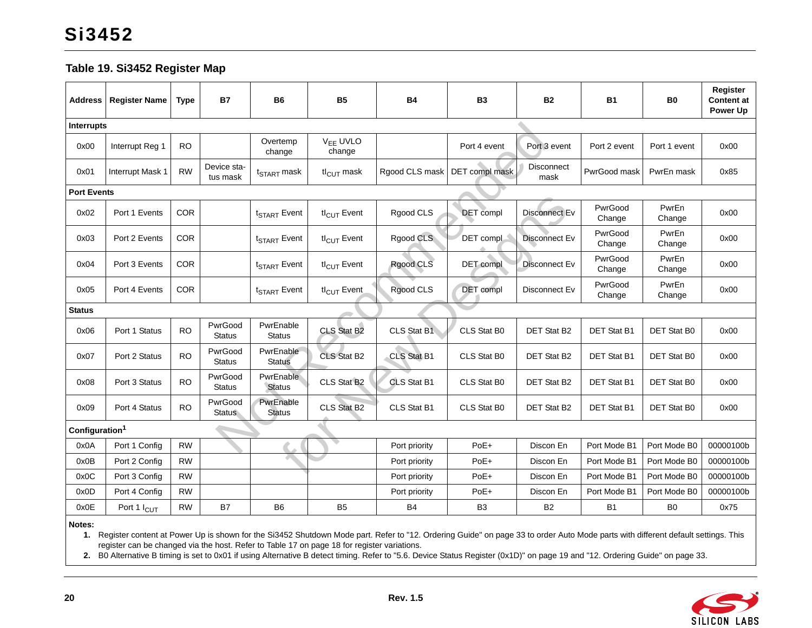#### **Table 19. Si3452 Register Map**

| <b>Address</b>             | <b>Register Name</b>    | <b>Type</b> | <b>B7</b>                | <b>B6</b>                  | <b>B5</b>                      | <b>B4</b>      | <b>B3</b>        | <b>B2</b>                 | <b>B1</b>         | B <sub>0</sub>  | Register<br><b>Content at</b><br>Power Up |
|----------------------------|-------------------------|-------------|--------------------------|----------------------------|--------------------------------|----------------|------------------|---------------------------|-------------------|-----------------|-------------------------------------------|
| Interrupts                 |                         |             |                          |                            |                                |                |                  |                           |                   |                 |                                           |
| 0x00                       | Interrupt Reg 1         | <b>RO</b>   |                          | Overtemp<br>change         | V <sub>EE</sub> UVLO<br>change |                | Port 4 event     | Port 3 event              | Port 2 event      | Port 1 event    | 0x00                                      |
| 0x01                       | Interrupt Mask 1        | <b>RW</b>   | Device sta-<br>tus mask  | t <sub>START</sub> mask    | $tl_{ClJT}$ mask               | Rgood CLS mask | DET compl mask   | <b>Disconnect</b><br>mask | PwrGood mask      | PwrEn mask      | 0x85                                      |
| <b>Port Events</b>         |                         |             |                          |                            |                                |                |                  |                           |                   |                 |                                           |
| 0x02                       | Port 1 Events           | COR         |                          | t <sub>START</sub> Event   | $tl_{\text{CUT}}$ Event        | Rgood CLS      | <b>DET</b> compl | Disconnect Ev             | PwrGood<br>Change | PwrEn<br>Change | 0x00                                      |
| 0x03                       | Port 2 Events           | COR         |                          | t <sub>START</sub> Event   | $tl_{\text{CUT}}$ Event        | Rgood CLS      | DET compl        | Disconnect Ev             | PwrGood<br>Change | PwrEn<br>Change | 0x00                                      |
| 0x04                       | Port 3 Events           | <b>COR</b>  |                          | t <sub>START</sub> Event   | $tl_{\text{CUT}}$ Event        | Rgood CLS      | DET compl        | Disconnect Ev             | PwrGood<br>Change | PwrEn<br>Change | 0x00                                      |
| 0x05                       | Port 4 Events           | <b>COR</b>  |                          | t <sub>START</sub> Event   | $tl_{\text{CUT}}$ Event        | Rgood CLS      | DET compl        | Disconnect Ev             | PwrGood<br>Change | PwrEn<br>Change | 0x00                                      |
| <b>Status</b>              |                         |             |                          |                            |                                |                |                  |                           |                   |                 |                                           |
| 0x06                       | Port 1 Status           | <b>RO</b>   | PwrGood<br>Status        | PwrEnable<br><b>Status</b> | CLS Stat B2                    | CLS Stat B1    | CLS Stat B0      | DET Stat B2               | DET Stat B1       | DET Stat B0     | 0x00                                      |
| 0x07                       | Port 2 Status           | <b>RO</b>   | PwrGood<br><b>Status</b> | PwrEnable<br><b>Status</b> | <b>CLS Stat B2</b>             | CLS Stat B1    | CLS Stat B0      | DET Stat B2               | DET Stat B1       | DET Stat B0     | 0x00                                      |
| 0x08                       | Port 3 Status           | <b>RO</b>   | PwrGood<br><b>Status</b> | PwrEnable<br><b>Status</b> | CLS Stat B2                    | CLS Stat B1    | CLS Stat B0      | DET Stat B2               | DET Stat B1       | DET Stat B0     | 0x00                                      |
| 0x09                       | Port 4 Status           | <b>RO</b>   | PwrGood<br><b>Status</b> | PwrEnable<br><b>Status</b> | CLS Stat B2                    | CLS Stat B1    | CLS Stat B0      | DET Stat B2               | DET Stat B1       | DET Stat B0     | 0x00                                      |
| Configuration <sup>1</sup> |                         |             |                          |                            |                                |                |                  |                           |                   |                 |                                           |
| 0x0A                       | Port 1 Config           | <b>RW</b>   |                          |                            |                                | Port priority  | PoE+             | Discon En                 | Port Mode B1      | Port Mode B0    | 00000100b                                 |
| 0x0B                       | Port 2 Config           | <b>RW</b>   |                          |                            |                                | Port priority  | PoE+             | Discon En                 | Port Mode B1      | Port Mode B0    | 00000100b                                 |
| 0x0C                       | Port 3 Config           | <b>RW</b>   |                          |                            |                                | Port priority  | PoE+             | Discon En                 | Port Mode B1      | Port Mode B0    | 00000100b                                 |
| 0x0D                       | Port 4 Config           | <b>RW</b>   |                          |                            |                                | Port priority  | PoE+             | Discon En                 | Port Mode B1      | Port Mode B0    | 00000100b                                 |
| 0x0E                       | Port 1 I <sub>CUT</sub> | <b>RW</b>   | <b>B7</b>                | B <sub>6</sub>             | B <sub>5</sub>                 | <b>B4</b>      | B <sub>3</sub>   | <b>B2</b>                 | <b>B1</b>         | B <sub>0</sub>  | 0x75                                      |
| Notes:                     |                         |             |                          |                            |                                |                |                  |                           |                   |                 |                                           |

<span id="page-19-1"></span> **1.** Register content at Power Up is shown for the Si3452 Shutdown Mode part. Refer to ["12. Ordering Guide" on page 33](#page-32-2) to order Auto Mode parts with different default settings. This register can be changed via the host. Refer to Table [17 on page](#page-17-2) 18 for register variations.

<span id="page-19-2"></span><span id="page-19-0"></span>**2.** B0 Alternative B timing is set to 0x01 if using Alternative B detect timing. Refer to ["5.6. Device Status Register \(0x1D\)" on page 19](#page-18-3) and ["12. Ordering Guide" on page 33](#page-32-2).

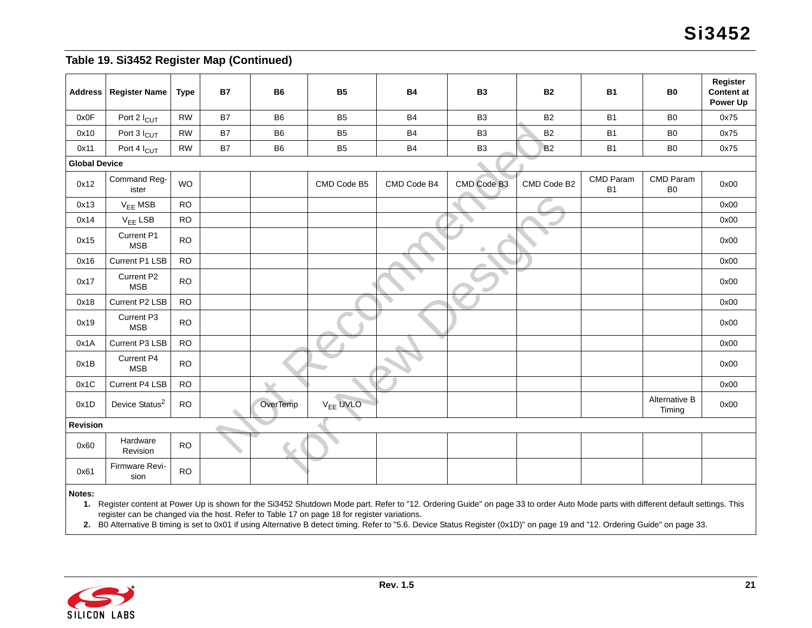### **Table 19. Si3452 Register Map (Continued)**

| <b>Address</b>       | <b>Register Name</b>       | <b>Type</b> | <b>B7</b> | <b>B6</b>      | <b>B5</b>            | <b>B4</b>      | <b>B3</b>      | <b>B2</b>   | <b>B1</b>              | <b>B0</b>                   | Register<br><b>Content at</b><br>Power Up |
|----------------------|----------------------------|-------------|-----------|----------------|----------------------|----------------|----------------|-------------|------------------------|-----------------------------|-------------------------------------------|
| 0x0F                 | Port 2 I <sub>CUT</sub>    | <b>RW</b>   | <b>B7</b> | <b>B6</b>      | <b>B5</b>            | <b>B4</b>      | B <sub>3</sub> | <b>B2</b>   | <b>B1</b>              | B <sub>0</sub>              | 0x75                                      |
| 0x10                 | Port 3 I <sub>CUT</sub>    | <b>RW</b>   | B7        | B <sub>6</sub> | B <sub>5</sub>       | B <sub>4</sub> | B <sub>3</sub> | <b>B2</b>   | <b>B1</b>              | B <sub>0</sub>              | 0x75                                      |
| 0x11                 | Port 4 I <sub>CUT</sub>    | <b>RW</b>   | <b>B7</b> | B <sub>6</sub> | B <sub>5</sub>       | <b>B4</b>      | B <sub>3</sub> | <b>B2</b>   | <b>B1</b>              | B <sub>0</sub>              | 0x75                                      |
| <b>Global Device</b> |                            |             |           |                |                      |                |                |             |                        |                             |                                           |
| 0x12                 | Command Reg-<br>ister      | <b>WO</b>   |           |                | CMD Code B5          | CMD Code B4    | CMD Code B3    | CMD Code B2 | CMD Param<br><b>B1</b> | CMD Param<br>B <sub>0</sub> | 0x00                                      |
| 0x13                 | V <sub>EE</sub> MSB        | <b>RO</b>   |           |                |                      |                |                |             |                        |                             | 0x00                                      |
| 0x14                 | $V_{EE}$ LSB               | <b>RO</b>   |           |                |                      |                |                | ٠           |                        |                             | 0x00                                      |
| 0x15                 | Current P1<br><b>MSB</b>   | <b>RO</b>   |           |                |                      |                |                |             |                        |                             | 0x00                                      |
| 0x16                 | Current P1 LSB             | <b>RO</b>   |           |                |                      |                |                |             |                        |                             | 0x00                                      |
| 0x17                 | Current P2<br><b>MSB</b>   | <b>RO</b>   |           |                |                      |                |                |             |                        |                             | 0x00                                      |
| 0x18                 | Current P2 LSB             | <b>RO</b>   |           |                |                      |                |                |             |                        |                             | 0x00                                      |
| 0x19                 | Current P3<br><b>MSB</b>   | <b>RO</b>   |           |                |                      |                |                |             |                        |                             | 0x00                                      |
| 0x1A                 | Current P3 LSB             | <b>RO</b>   |           |                |                      |                |                |             |                        |                             | 0x00                                      |
| 0x1B                 | Current P4<br><b>MSB</b>   | <b>RO</b>   |           |                |                      |                |                |             |                        |                             | 0x00                                      |
| 0x1C                 | Current P4 LSB             | <b>RO</b>   |           |                |                      |                |                |             |                        |                             | 0x00                                      |
| 0x1D                 | Device Status <sup>2</sup> | <b>RO</b>   |           | OverTemp       | V <sub>EE</sub> UVLO |                |                |             |                        | Alternative B<br>Timing     | 0x00                                      |
| <b>Revision</b>      |                            |             |           |                |                      |                |                |             |                        |                             |                                           |
| 0x60                 | Hardware<br>Revision       | <b>RO</b>   |           |                |                      |                |                |             |                        |                             |                                           |
| 0x61                 | Firmware Revi-<br>sion     | <b>RO</b>   |           |                |                      |                |                |             |                        |                             |                                           |
| Notes:               |                            |             |           |                |                      |                |                |             |                        |                             |                                           |

**1.** Register content at Power Up is shown for the Si3452 Shutdown Mode part. Refer to "12. Ordering Guide" on page 33 to order Auto Mode parts with different default settings. This register can be changed via the host. Refer to Table 17 on page 18 for register variations.

**2.** B0 Alternative B timing is set to 0x01 if using Alternative B detect timing. Refer to "5.6. Device Status Register (0x1D)" on page 19 and "12. Ordering Guide" on page 33.

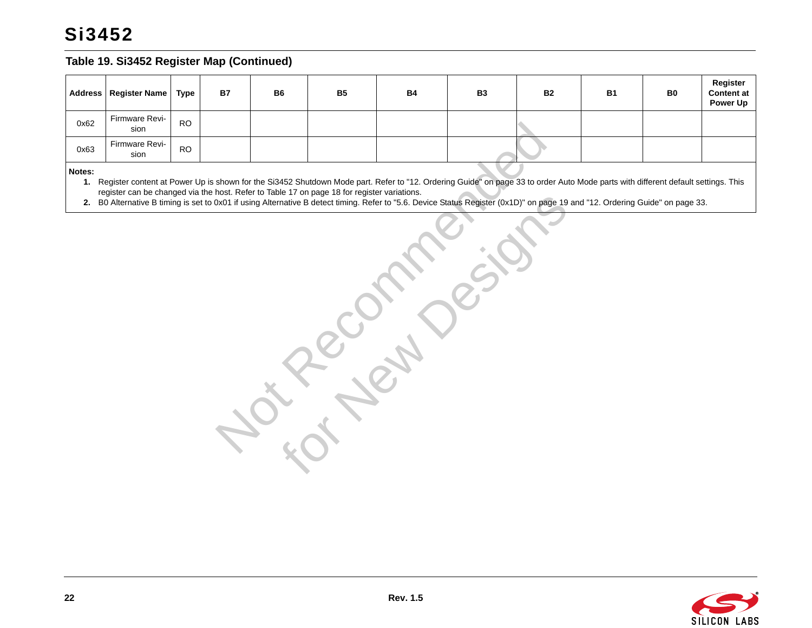# **Si3452**

#### **Table 19. Si3452 Register Map (Continued)**

|      | Address   Register Name   Type |           | <b>B7</b> | <b>B6</b> | <b>B5</b> | <b>B4</b> | <b>B3</b> | <b>B2</b> | <b>B1</b> | B0 | Register<br><b>Content at</b><br>Power Up |
|------|--------------------------------|-----------|-----------|-----------|-----------|-----------|-----------|-----------|-----------|----|-------------------------------------------|
| 0x62 | Firmware Revi-<br>sion         | <b>RO</b> |           |           |           |           |           |           |           |    |                                           |
| 0x63 | Firmware Revi-<br>sion         | <b>RO</b> |           |           |           |           |           |           |           |    |                                           |

**Notes:**

**1.** Register content at Power Up is shown for the Si3452 Shutdown Mode part. Refer to "12. Ordering Guide" on page 33 to order Auto Mode parts with different default settings. This register can be changed via the host. Refer to Table 17 on page 18 for register variations.

**2.** B0 Alternative B timing is set to 0x01 if using Alternative B detect timing. Refer to "5.6. Device Status Register (0x1D)" on page 19 and "12. Ordering Guide" on page 33.

 $R_{\alpha}^{\nu}$  recommended for

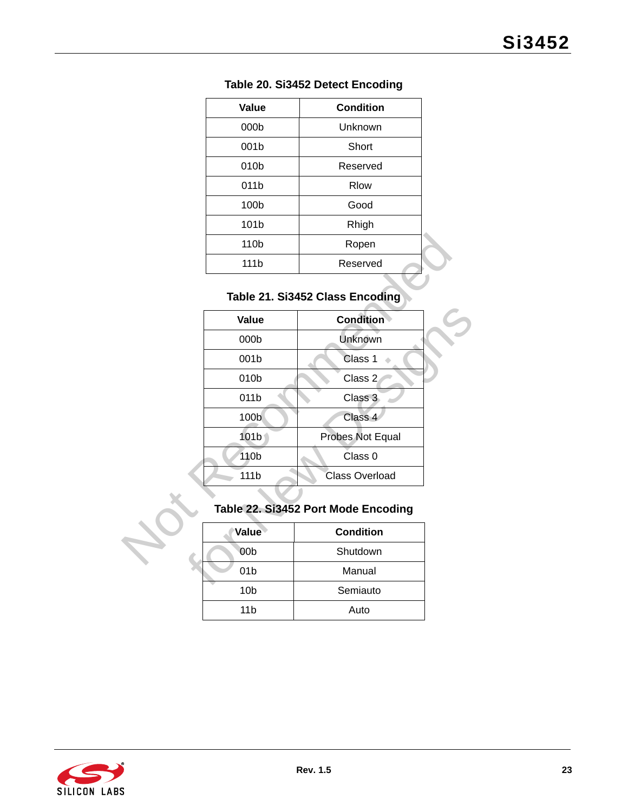| Value            | <b>Condition</b> |
|------------------|------------------|
| 000b             | Unknown          |
| 001b             | Short            |
| 010b             | Reserved         |
| 011b             | <b>Rlow</b>      |
| 100b             | Good             |
| 101b             | Rhigh            |
| 110 <sub>b</sub> | Ropen            |
| 111 <sub>b</sub> | Reserved         |

### **Table 20. Si3452 Detect Encoding**

# **Table 21. Si3452 Class Encoding**

| 110b            | Ropen                               |  |
|-----------------|-------------------------------------|--|
| 111b            | Reserved                            |  |
|                 |                                     |  |
|                 | Table 21. Si3452 Class Encoding     |  |
| Value           | <b>Condition</b>                    |  |
| 000b            | Unknown                             |  |
| 001b            | Class 1                             |  |
| 010b            | Class 2                             |  |
| 011b            | Class 3                             |  |
| 100b            | Class 4                             |  |
| 101b            | Probes Not Equal                    |  |
| 110b            | Class 0                             |  |
| 111b            | <b>Class Overload</b>               |  |
|                 |                                     |  |
|                 | Table 22. Si3452 Port Mode Encoding |  |
| Value           | <b>Condition</b>                    |  |
| 00 <sub>b</sub> | Shutdown                            |  |
| 01 <sub>b</sub> | Manual                              |  |
|                 |                                     |  |

# **Table 22. Si3452 Port Mode Encoding**

| Value           | <b>Condition</b> |
|-----------------|------------------|
| 00 <sub>b</sub> | Shutdown         |
| 01 <sub>b</sub> | Manual           |
| 10 <sub>b</sub> | Semiauto         |
| 11b             | Auto             |

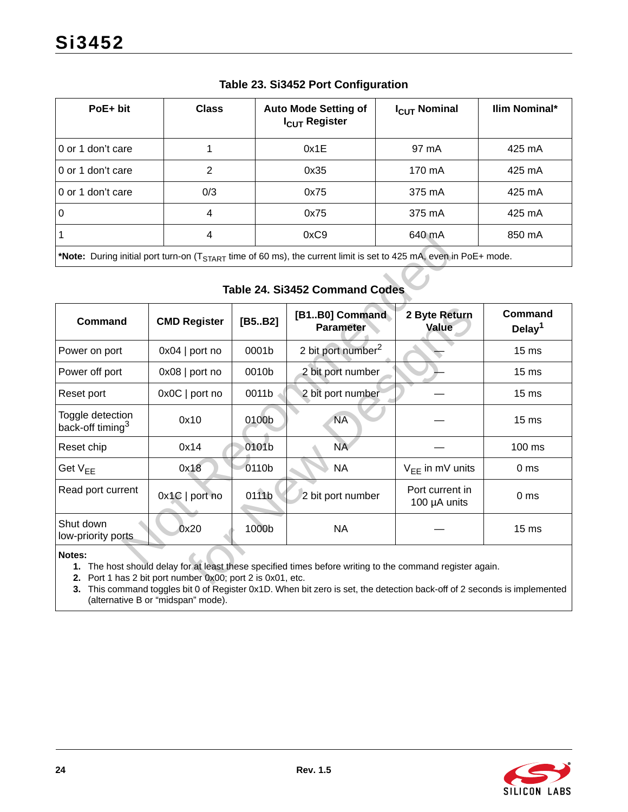<span id="page-23-1"></span>

| PoE+ bit                                                                                                                                                    | <b>Class</b> | <b>Auto Mode Setting of</b><br>I <sub>CUT</sub> Register | I <sub>CUT</sub> Nominal | Ilim Nominal* |  |  |
|-------------------------------------------------------------------------------------------------------------------------------------------------------------|--------------|----------------------------------------------------------|--------------------------|---------------|--|--|
| 0 or 1 don't care                                                                                                                                           |              | 0x1E                                                     | 97 mA                    | 425 mA        |  |  |
| 0 or 1 don't care                                                                                                                                           | 2            | 0x35                                                     | 170 mA                   | 425 mA        |  |  |
| 0 or 1 don't care                                                                                                                                           | 0/3          | 0x75                                                     | 375 mA                   | 425 mA        |  |  |
| $\overline{0}$                                                                                                                                              | 4            | 0x75                                                     | 375 mA                   | 425 mA        |  |  |
|                                                                                                                                                             | 4            | 0xC9                                                     | 640 mA                   | 850 mA        |  |  |
| $*$ Natar During initial part turn on $T$<br>$f_{\rm max}$ of $E_{\rm 0}$ mo) the ourrant limit is not to $125$ m <sup>1</sup> oven in $D_2E_{\rm 1}$ mode. |              |                                                          |                          |               |  |  |

### **Table 23. Si3452 Port Configuration**

### **Table 24. Si3452 Command Codes**

<span id="page-23-0"></span>

|                                                                                                                               | 4                                                       |        | OXC <sub>9</sub>                                                                                                                                                                                                                     | 640 MA                          | 850 MA                        |  |
|-------------------------------------------------------------------------------------------------------------------------------|---------------------------------------------------------|--------|--------------------------------------------------------------------------------------------------------------------------------------------------------------------------------------------------------------------------------------|---------------------------------|-------------------------------|--|
| *Note: During initial port turn-on (T <sub>START</sub> time of 60 ms), the current limit is set to 425 mA, even in PoE+ mode. |                                                         |        |                                                                                                                                                                                                                                      |                                 |                               |  |
|                                                                                                                               |                                                         |        | <b>Table 24. Si3452 Command Codes</b>                                                                                                                                                                                                |                                 |                               |  |
| Command                                                                                                                       | <b>CMD Register</b>                                     | [B5B2] | [B1B0] Command<br><b>Parameter</b>                                                                                                                                                                                                   | 2 Byte Return<br>Value          | Command<br>Delay <sup>1</sup> |  |
| Power on port                                                                                                                 | $0x04$   port no                                        | 0001b  | 2 bit port number <sup>2</sup>                                                                                                                                                                                                       |                                 | 15 <sub>ms</sub>              |  |
| Power off port                                                                                                                | $0x08$   port no                                        | 0010b  | 2 bit port number                                                                                                                                                                                                                    |                                 | 15 <sub>ms</sub>              |  |
| Reset port                                                                                                                    | 0x0C   port no                                          | 0011b  | 2 bit port number                                                                                                                                                                                                                    |                                 | 15 <sub>ms</sub>              |  |
| Toggle detection<br>back-off timing <sup>3</sup>                                                                              | 0x10                                                    | 0100b  | <b>NA</b>                                                                                                                                                                                                                            |                                 | 15 <sub>ms</sub>              |  |
| Reset chip                                                                                                                    | 0x14                                                    | 0101b  | NA                                                                                                                                                                                                                                   |                                 | 100 ms                        |  |
| Get V <sub>EE</sub>                                                                                                           | 0x18                                                    | 0110b  | <b>NA</b>                                                                                                                                                                                                                            | $V_{EE}$ in mV units            | 0 <sub>ms</sub>               |  |
| Read port current                                                                                                             | $0x1C$   port no                                        | 0111b  | 2 bit port number                                                                                                                                                                                                                    | Port current in<br>100 µA units | 0 <sub>ms</sub>               |  |
| Shut down<br>low-priority ports                                                                                               | 0x20                                                    | 1000b  | <b>NA</b>                                                                                                                                                                                                                            |                                 | 15 <sub>ms</sub>              |  |
| Notes:<br>2.                                                                                                                  | Port 1 has 2 bit port number 0x00; port 2 is 0x01, etc. |        | 1. The host should delay for at least these specified times before writing to the command register again.<br>This common december bit O of Demister Out D. When bit gave is not the detection book off of O concerted in implemented |                                 |                               |  |

#### <span id="page-23-2"></span>**Notes:**

<span id="page-23-4"></span><span id="page-23-3"></span>**3.** This command toggles bit 0 of Register 0x1D. When bit zero is set, the detection back-off of 2 seconds is implemented (alternative B or "midspan" mode).

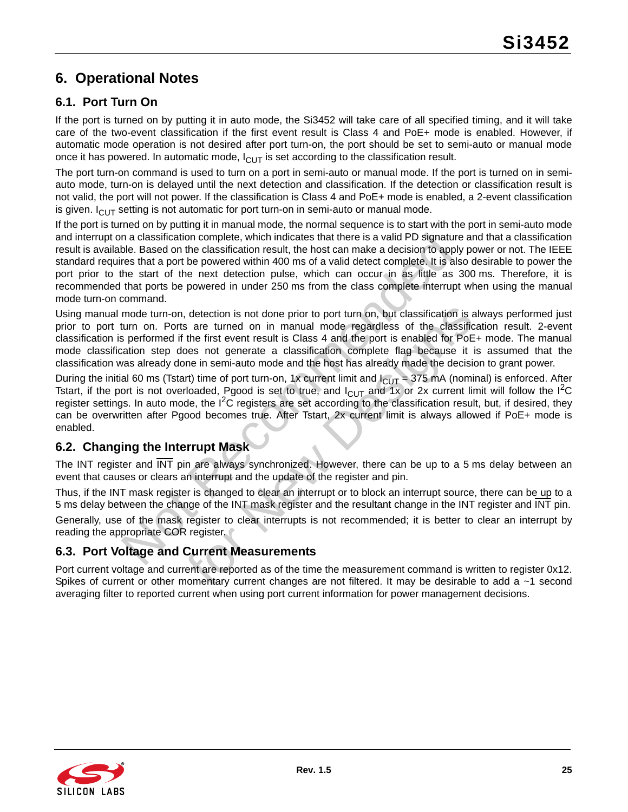# <span id="page-24-0"></span>**6. Operational Notes**

# <span id="page-24-1"></span>**6.1. Port Turn On**

If the port is turned on by putting it in auto mode, the Si3452 will take care of all specified timing, and it will take care of the two-event classification if the first event result is Class 4 and PoE+ mode is enabled. However, if automatic mode operation is not desired after port turn-on, the port should be set to semi-auto or manual mode once it has powered. In automatic mode,  $I_{\text{CUT}}$  is set according to the classification result.

The port turn-on command is used to turn on a port in semi-auto or manual mode. If the port is turned on in semiauto mode, turn-on is delayed until the next detection and classification. If the detection or classification result is not valid, the port will not power. If the classification is Class 4 and PoE+ mode is enabled, a 2-event classification is given.  $I_{\text{Cl}}$  setting is not automatic for port turn-on in semi-auto or manual mode.

In a classification complete, which indicates that there is a valid PD signatuble. Based on the classification result, the host can make a decision to approxime that a port be powered within 400 ms of a valid detect compl If the port is turned on by putting it in manual mode, the normal sequence is to start with the port in semi-auto mode and interrupt on a classification complete, which indicates that there is a valid PD signature and that a classification result is available. Based on the classification result, the host can make a decision to apply power or not. The IEEE standard requires that a port be powered within 400 ms of a valid detect complete. It is also desirable to power the port prior to the start of the next detection pulse, which can occur in as little as 300 ms. Therefore, it is recommended that ports be powered in under 250 ms from the class complete interrupt when using the manual mode turn-on command.

, detection is not done prior to port turn on, but classification is a are turned on in manual mode regardless of the classification the first event result is Class 4 and the port is enabled for PoE ones not generate a cl Using manual mode turn-on, detection is not done prior to port turn on, but classification is always performed just prior to port turn on. Ports are turned on in manual mode regardless of the classification result. 2-event classification is performed if the first event result is Class 4 and the port is enabled for PoE+ mode. The manual mode classification step does not generate a classification complete flag because it is assumed that the classification was already done in semi-auto mode and the host has already made the decision to grant power.

During the initial 60 ms (Tstart) time of port turn-on, 1x current limit and  $I_{CUT}$  = 375 mA (nominal) is enforced. After Tstart, if the port is not overloaded, Pgood is set to true, and  $I_{\text{ClUT}}$  and 1x or 2x current limit will follow the I<sup>2</sup>C register settings. In auto mode, the  $I^2C$  registers are set according to the classification result, but, if desired, they can be overwritten after Pgood becomes true. After Tstart, 2x current limit is always allowed if PoE+ mode is enabled.

# <span id="page-24-2"></span>**6.2. Changing the Interrupt Mask**

The INT register and  $\overline{\text{INT}}$  pin are always synchronized. However, there can be up to a 5 ms delay between an event that causes or clears an interrupt and the update of the register and pin.

Thus, if the INT mask register is changed to clear an interrupt or to block an interrupt source, there can be up to a 5 ms delay between the change of the INT mask register and the resultant change in the INT register and INT pin.

Generally, use of the mask register to clear interrupts is not recommended; it is better to clear an interrupt by reading the appropriate COR register.

### <span id="page-24-3"></span>**6.3. Port Voltage and Current Measurements**

Port current voltage and current are reported as of the time the measurement command is written to register 0x12. Spikes of current or other momentary current changes are not filtered. It may be desirable to add a ~1 second averaging filter to reported current when using port current information for power management decisions.

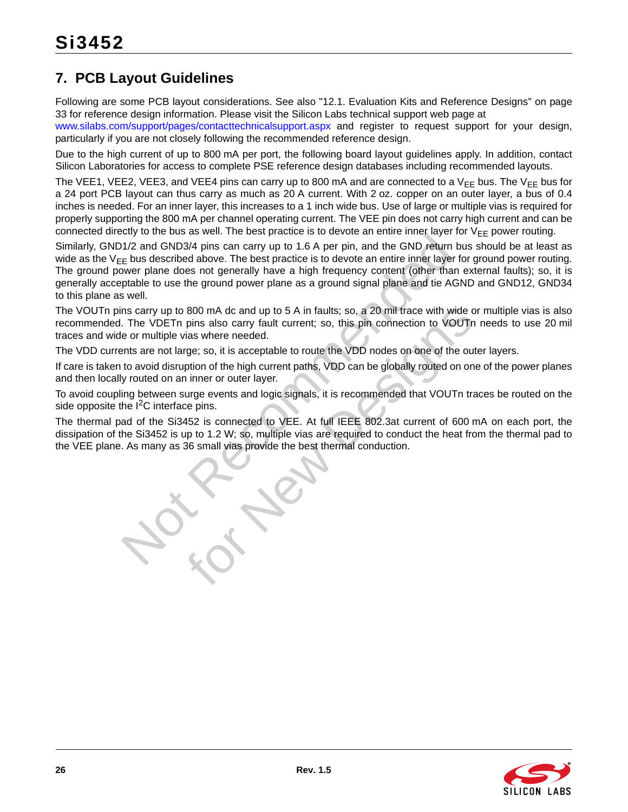# <span id="page-25-0"></span>**7. PCB Layout Guidelines**

Following are some PCB layout considerations. See also ["12.1. Evaluation Kits and Reference Designs" on page](#page-32-1) [33](#page-32-1) for reference design information. Please visit the Silicon Labs technical support web page at

[www.silabs.com/support/pages/contacttechnicalsupport.aspx](https://www.silabs.com/support/pages/contacttechnicalsupport.aspx) and register to request support for your design, particularly if you are not closely following the recommended reference design.

Due to the high current of up to 800 mA per port, the following board layout guidelines apply. In addition, contact Silicon Laboratories for access to complete PSE reference design databases including recommended layouts.

The VEE1, VEE2, VEE3, and VEE4 pins can carry up to 800 mA and are connected to a V<sub>FF</sub> bus. The V<sub>FF</sub> bus for a 24 port PCB layout can thus carry as much as 20 A current. With 2 oz. copper on an outer layer, a bus of 0.4 inches is needed. For an inner layer, this increases to a 1 inch wide bus. Use of large or multiple vias is required for properly supporting the 800 mA per channel operating current. The VEE pin does not carry high current and can be connected directly to the bus as well. The best practice is to devote an entire inner layer for  $V_{FF}$  power routing.

Not be be a series the best predicts is conceled. The best predict is the same of the Si3452 is up to 1.8 A per pin, and the GND return is the GND return in the GND return is the component of the best practice is to devote Similarly, GND1/2 and GND3/4 pins can carry up to 1.6 A per pin, and the GND return bus should be at least as wide as the  $V_{FF}$  bus described above. The best practice is to devote an entire inner layer for ground power routing. The ground power plane does not generally have a high frequency content (other than external faults); so, it is generally acceptable to use the ground power plane as a ground signal plane and tie AGND and GND12, GND34 to this plane as well.

800 mA dc and up to 5 A in faults; so, a 20 mil trace with wide c<br>pins also carry fault current; so, this pin connection to VOUTr<br>dias where needed.<br>ge; so, it is acceptable to route the VDD nodes on one of the ou<br>ption of The VOUTn pins carry up to 800 mA dc and up to 5 A in faults; so, a 20 mil trace with wide or multiple vias is also recommended. The VDETn pins also carry fault current; so, this pin connection to VOUTn needs to use 20 mil traces and wide or multiple vias where needed.

The VDD currents are not large; so, it is acceptable to route the VDD nodes on one of the outer layers.

If care is taken to avoid disruption of the high current paths, VDD can be globally routed on one of the power planes and then locally routed on an inner or outer layer.

To avoid coupling between surge events and logic signals, it is recommended that VOUTn traces be routed on the side opposite the  $I^2C$  interface pins.

The thermal pad of the Si3452 is connected to VEE. At full IEEE 802.3at current of 600 mA on each port, the dissipation of the Si3452 is up to 1.2 W; so, multiple vias are required to conduct the heat from the thermal pad to the VEE plane. As many as 36 small vias provide the best thermal conduction.

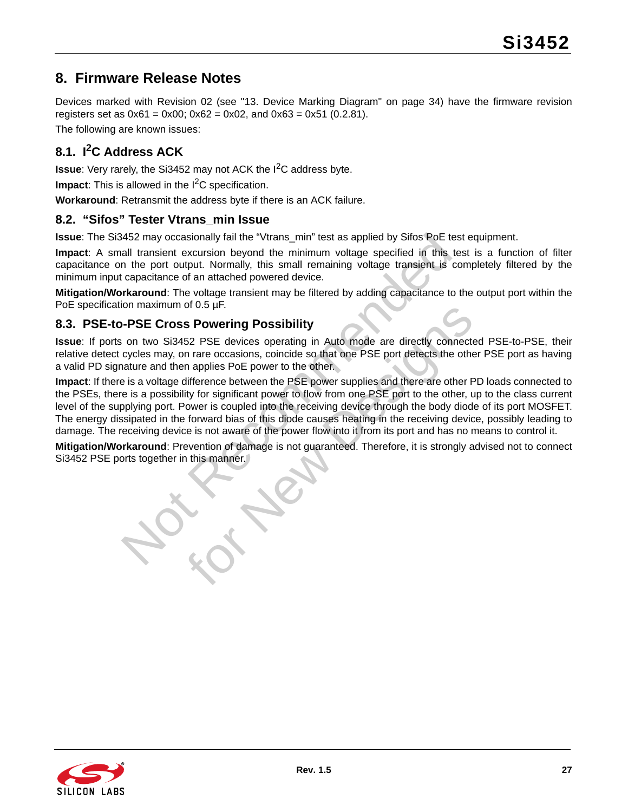# <span id="page-26-0"></span>**8. Firmware Release Notes**

Devices marked with Revision 02 (see ["13. Device Marking Diagram" on page 34](#page-33-0)) have the firmware revision registers set as  $0x61 = 0x00$ :  $0x62 = 0x02$ , and  $0x63 = 0x51$  (0.2.81).

The following are known issues:

# <span id="page-26-1"></span>**8.1. I2C Address ACK**

**Issue**: Very rarely, the Si3452 may not ACK the I<sup>2</sup>C address byte.

**Impact:** This is allowed in the I<sup>2</sup>C specification.

**Workaround**: Retransmit the address byte if there is an ACK failure.

### <span id="page-26-2"></span>**8.2. "Sifos" Tester Vtrans\_min Issue**

**Issue**: The Si3452 may occasionally fail the "Vtrans\_min" test as applied by Sifos PoE test equipment.

**Impact**: A small transient excursion beyond the minimum voltage specified in this test is a function of filter capacitance on the port output. Normally, this small remaining voltage transient is completely filtered by the minimum input capacitance of an attached powered device.

**Mitigation/Workaround**: The voltage transient may be filtered by adding capacitance to the output port within the PoE specification maximum of 0.5 µF.

# <span id="page-26-3"></span>**8.3. PSE-to-PSE Cross Powering Possibility**

**Issue**: If ports on two Si3452 PSE devices operating in Auto mode are directly connected PSE-to-PSE, their relative detect cycles may, on rare occasions, coincide so that one PSE port detects the other PSE port as having a valid PD signature and then applies PoE power to the other.

3452 may occasionally fail the "Vtrans\_min" test as applied by Sifos PoE to the minimum voltage specified in this anal transient excursion beyond the minimum voltage specified in this in the port output. Normally, this sma of 0.5 pr.<br>
Solution provides operating in Auto mode are directly connected in applies PoE devices operating in Auto mode are directly connected in applies PoE power to the other.<br>
Infference between the PSE power supplies **Impact**: If there is a voltage difference between the PSE power supplies and there are other PD loads connected to the PSEs, there is a possibility for significant power to flow from one PSE port to the other, up to the class current level of the supplying port. Power is coupled into the receiving device through the body diode of its port MOSFET. The energy dissipated in the forward bias of this diode causes heating in the receiving device, possibly leading to damage. The receiving device is not aware of the power flow into it from its port and has no means to control it.

**Mitigation/Workaround**: Prevention of damage is not guaranteed. Therefore, it is strongly advised not to connect Si3452 PSE ports together in this manner.

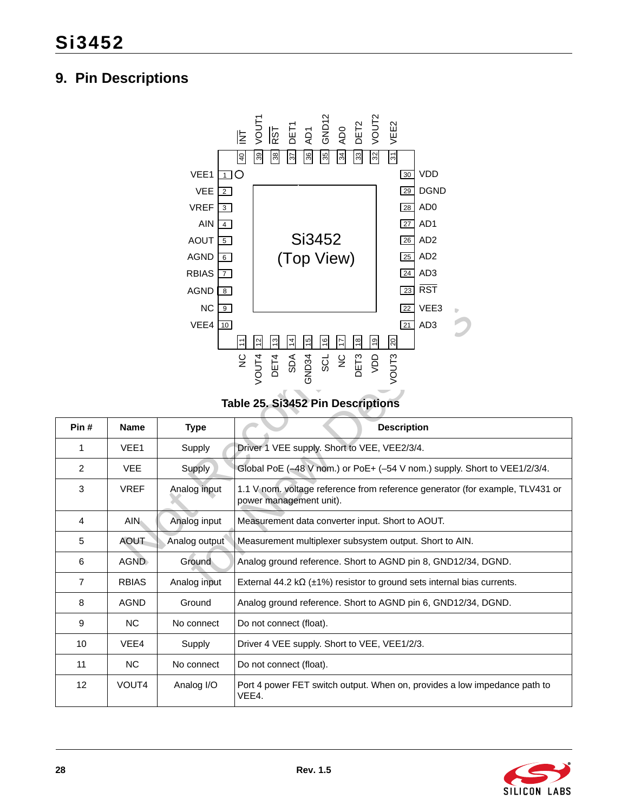# <span id="page-27-0"></span>**9. Pin Descriptions**



**Table 25. Si3452 Pin Descriptions** 

|                |                 | AOUT $\boxed{5}$              | Si3452                                                                                                       | AD <sub>2</sub><br>$\overline{26}$                                             |
|----------------|-----------------|-------------------------------|--------------------------------------------------------------------------------------------------------------|--------------------------------------------------------------------------------|
|                |                 | <b>AGND</b><br>6 <sup>1</sup> | (Top View)                                                                                                   | AD <sub>2</sub><br>25                                                          |
|                |                 | <b>RBIAS</b><br>l 7 I         |                                                                                                              | AD <sub>3</sub><br>24                                                          |
|                |                 | <b>AGND</b><br> 8             |                                                                                                              | <b>RST</b><br>$\boxed{23}$                                                     |
|                |                 | <b>NC</b><br>  9              |                                                                                                              | VEE3<br>$\overline{22}$                                                        |
|                |                 | $VEE4$ 10                     |                                                                                                              | 21<br>AD <sub>3</sub>                                                          |
|                |                 |                               | $\overline{14}$<br>¦¤<br>$\frac{6}{ }$<br>$\frac{8}{2}$<br>ခြ<br> 일<br>$\frac{3}{2}$<br>$\overline{1}$<br>lニ | ඝ                                                                              |
|                |                 |                               | $\frac{0}{2}$<br>SCL                                                                                         |                                                                                |
|                |                 |                               | OET3<br>CIET3<br>OET3<br>GND34<br>VOUT4<br>DET4<br>SDA                                                       | VOUT3                                                                          |
|                |                 |                               |                                                                                                              |                                                                                |
|                |                 |                               | Table 25. Si3452 Pin Descriptions                                                                            |                                                                                |
| Pin#           | <b>Name</b>     | <b>Type</b>                   |                                                                                                              | <b>Description</b>                                                             |
| $\mathbf{1}$   | VEE1            | Supply                        | Driver 1 VEE supply. Short to VEE, VEE2/3/4.                                                                 |                                                                                |
| 2              | VEE.            | <b>Supply</b>                 |                                                                                                              | Global PoE (-48 V nom.) or PoE+ (-54 V nom.) supply. Short to VEE1/2/3/4.      |
| 3              | <b>VREF</b>     | Analog input                  | power management unit).                                                                                      | 1.1 V nom. voltage reference from reference generator (for example, TLV431 or  |
| 4              | AIN <sub></sub> | Analog input                  | Measurement data converter input. Short to AOUT.                                                             |                                                                                |
| 5              | AOUT            | Analog output                 | Measurement multiplexer subsystem output. Short to AIN.                                                      |                                                                                |
| 6              | <b>AGND</b>     | Ground                        | Analog ground reference. Short to AGND pin 8, GND12/34, DGND.                                                |                                                                                |
| $\overline{7}$ | <b>RBIAS</b>    | Analog input                  |                                                                                                              | External 44.2 k $\Omega$ (±1%) resistor to ground sets internal bias currents. |
| 8              | <b>AGND</b>     | Ground                        | Analog ground reference. Short to AGND pin 6, GND12/34, DGND.                                                |                                                                                |
| 9              | <b>NC</b>       | No connect                    | Do not connect (float).                                                                                      |                                                                                |
| 10             | VEE4            | Supply                        | Driver 4 VEE supply. Short to VEE, VEE1/2/3.                                                                 |                                                                                |
| 11             | <b>NC</b>       | No connect                    | Do not connect (float).                                                                                      |                                                                                |
| 12             | VOUT4           | Analog I/O                    | VEE4.                                                                                                        | Port 4 power FET switch output. When on, provides a low impedance path to      |

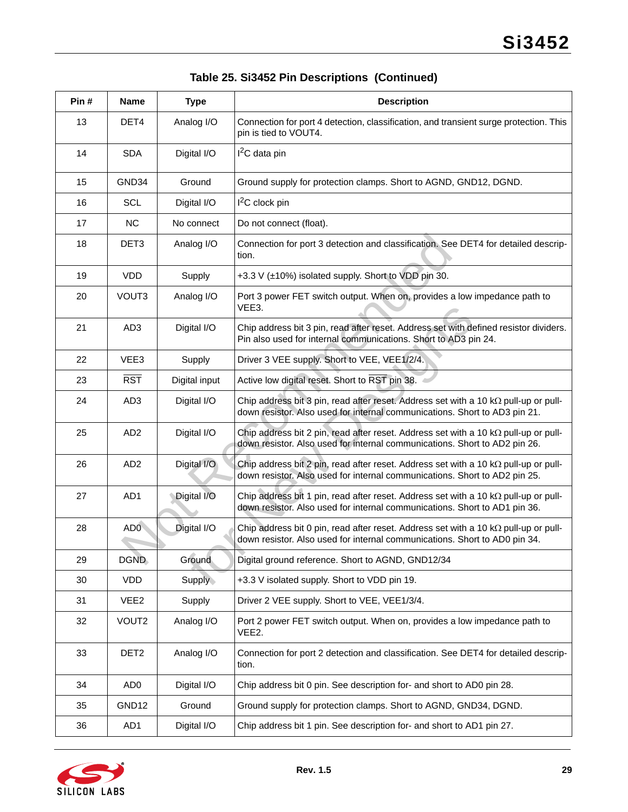| Pin# | <b>Name</b>      | <b>Type</b>   | <b>Description</b>                                                                                                                                                       |
|------|------------------|---------------|--------------------------------------------------------------------------------------------------------------------------------------------------------------------------|
| 13   | DET4             | Analog I/O    | Connection for port 4 detection, classification, and transient surge protection. This<br>pin is tied to VOUT4.                                                           |
| 14   | <b>SDA</b>       | Digital I/O   | I <sup>2</sup> C data pin                                                                                                                                                |
| 15   | GND34            | Ground        | Ground supply for protection clamps. Short to AGND, GND12, DGND.                                                                                                         |
| 16   | <b>SCL</b>       | Digital I/O   | $I2C$ clock pin                                                                                                                                                          |
| 17   | <b>NC</b>        | No connect    | Do not connect (float).                                                                                                                                                  |
| 18   | DET <sub>3</sub> | Analog I/O    | Connection for port 3 detection and classification. See DET4 for detailed descrip-<br>tion.                                                                              |
| 19   | <b>VDD</b>       | Supply        | +3.3 V (±10%) isolated supply. Short to VDD pin 30.                                                                                                                      |
| 20   | VOUT3            | Analog I/O    | Port 3 power FET switch output. When on, provides a low impedance path to<br>VEE3.                                                                                       |
| 21   | AD <sub>3</sub>  | Digital I/O   | Chip address bit 3 pin, read after reset. Address set with defined resistor dividers.<br>Pin also used for internal communications. Short to AD3 pin 24.                 |
| 22   | VEE3             | Supply        | Driver 3 VEE supply. Short to VEE, VEE1/2/4.                                                                                                                             |
| 23   | $\overline{RST}$ | Digital input | Active low digital reset. Short to RST pin 38.                                                                                                                           |
| 24   | AD <sub>3</sub>  | Digital I/O   | Chip address bit 3 pin, read after reset. Address set with a 10 $k\Omega$ pull-up or pull-<br>down resistor. Also used for internal communications. Short to AD3 pin 21. |
| 25   | AD <sub>2</sub>  | Digital I/O   | Chip address bit 2 pin, read after reset. Address set with a 10 $k\Omega$ pull-up or pull-<br>down resistor. Also used for internal communications. Short to AD2 pin 26. |
| 26   | AD <sub>2</sub>  | Digital I/O   | Chip address bit 2 pin, read after reset. Address set with a 10 $k\Omega$ pull-up or pull-<br>down resistor. Also used for internal communications. Short to AD2 pin 25. |
| 27   | AD1              | Digital I/O   | Chip address bit 1 pin, read after reset. Address set with a 10 $k\Omega$ pull-up or pull-<br>down resistor. Also used for internal communications. Short to AD1 pin 36. |
| 28   | AD <sub>0</sub>  | Digital I/O   | Chip address bit 0 pin, read after reset. Address set with a 10 $k\Omega$ pull-up or pull-<br>down resistor. Also used for internal communications. Short to AD0 pin 34. |
| 29   | <b>DGND</b>      | <b>Ground</b> | Digital ground reference. Short to AGND, GND12/34                                                                                                                        |
| 30   | VDD              | Supply        | +3.3 V isolated supply. Short to VDD pin 19.                                                                                                                             |
| 31   | VEE <sub>2</sub> | Supply        | Driver 2 VEE supply. Short to VEE, VEE1/3/4.                                                                                                                             |
| 32   | VOUT2            | Analog I/O    | Port 2 power FET switch output. When on, provides a low impedance path to<br>VEE2.                                                                                       |
| 33   | DET <sub>2</sub> | Analog I/O    | Connection for port 2 detection and classification. See DET4 for detailed descrip-<br>tion.                                                                              |
| 34   | AD <sub>0</sub>  | Digital I/O   | Chip address bit 0 pin. See description for- and short to AD0 pin 28.                                                                                                    |
| 35   | GND12            | Ground        | Ground supply for protection clamps. Short to AGND, GND34, DGND.                                                                                                         |
| 36   | AD1              | Digital I/O   | Chip address bit 1 pin. See description for- and short to AD1 pin 27.                                                                                                    |

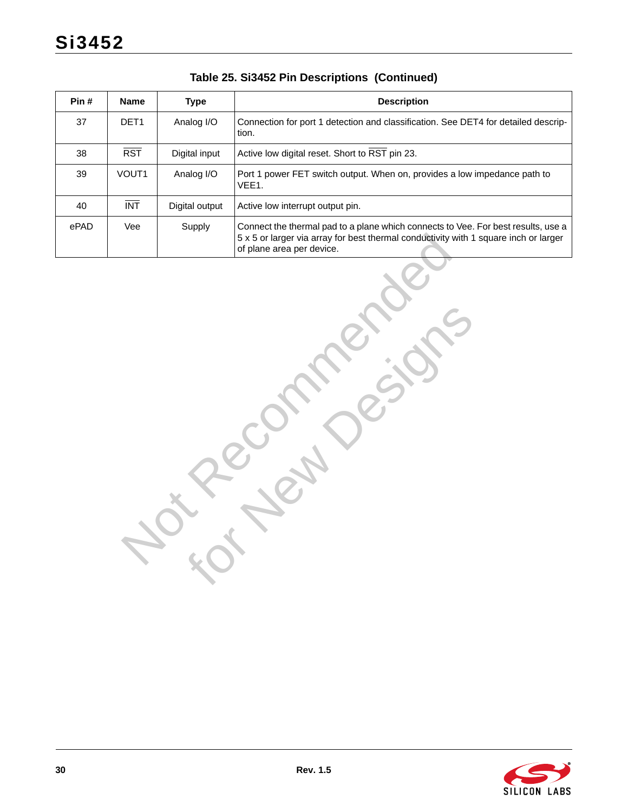| Pin# | <b>Name</b>             | <b>Type</b>    | <b>Description</b>                                                                                                                                                                                     |
|------|-------------------------|----------------|--------------------------------------------------------------------------------------------------------------------------------------------------------------------------------------------------------|
| 37   | DET1                    | Analog I/O     | Connection for port 1 detection and classification. See DET4 for detailed descrip-<br>tion.                                                                                                            |
| 38   | $\overline{\text{RST}}$ | Digital input  | Active low digital reset. Short to RST pin 23.                                                                                                                                                         |
| 39   | VOUT1                   | Analog I/O     | Port 1 power FET switch output. When on, provides a low impedance path to<br>VEE1.                                                                                                                     |
| 40   | $\overline{INT}$        | Digital output | Active low interrupt output pin.                                                                                                                                                                       |
| ePAD | Vee                     | Supply         | Connect the thermal pad to a plane which connects to Vee. For best results, use a<br>5 x 5 or larger via array for best thermal conductivity with 1 square inch or larger<br>of plane area per device. |
|      |                         |                |                                                                                                                                                                                                        |

for New Designs

# **Table 25. Si3452 Pin Descriptions (Continued)**

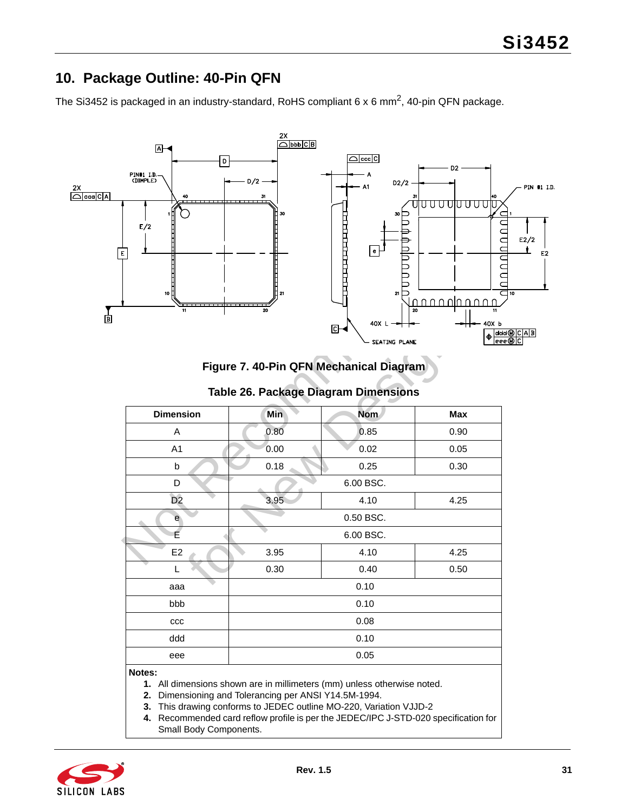# <span id="page-30-0"></span>**10. Package Outline: 40-Pin QFN**

The Si3452 is packaged in an industry-standard, RoHS compliant 6 x 6 mm<sup>2</sup>, 40-pin QFN package.



**Figure 7. 40-Pin QFN Mechanical Diagram**

| 10 I<br>11       | 21<br>20 | $\bullet$<br>21<br>$40X L -$<br>머<br>SEATING PLANE<br>Figure 7. 40-Pin QFN Mechanical Diagram | 20<br>11<br>40X <sub>b</sub><br>$\frac{1}{\frac{1}{\sqrt{1-\frac{1}{\sqrt{1}}}}}$ |
|------------------|----------|-----------------------------------------------------------------------------------------------|-----------------------------------------------------------------------------------|
|                  |          | Table 26. Package Diagram Dimensions                                                          |                                                                                   |
| <b>Dimension</b> | Min      | <b>Nom</b>                                                                                    | <b>Max</b>                                                                        |
| A                | 0.80     | 0.85                                                                                          | 0.90                                                                              |
| A <sub>1</sub>   | 0.00     | 0.02                                                                                          | 0.05                                                                              |
| b                | 0.18     | 0.25                                                                                          | 0.30                                                                              |
| D                |          | 6.00 BSC.                                                                                     |                                                                                   |
| D <sub>2</sub>   | 3.95     | 4.10                                                                                          | 4.25                                                                              |
| e                |          | 0.50 BSC.                                                                                     |                                                                                   |
| É                |          | 6.00 BSC.                                                                                     |                                                                                   |
| E2               | 3.95     | 4.10                                                                                          | 4.25                                                                              |
| L                | 0.30     | 0.40                                                                                          | 0.50                                                                              |
| aaa              |          | 0.10                                                                                          |                                                                                   |
| bbb              |          | 0.10                                                                                          |                                                                                   |
| ccc              |          | 0.08                                                                                          |                                                                                   |
| ddd              |          | 0.10                                                                                          |                                                                                   |
| eee              |          | 0.05                                                                                          |                                                                                   |
| Notes:           |          |                                                                                               |                                                                                   |

**1.** All dimensions shown are in millimeters (mm) unless otherwise noted.

**2.** Dimensioning and Tolerancing per ANSI Y14.5M-1994.

- **3.** This drawing conforms to JEDEC outline MO-220, Variation VJJD-2
- **4.** Recommended card reflow profile is per the JEDEC/IPC J-STD-020 specification for Small Body Components.

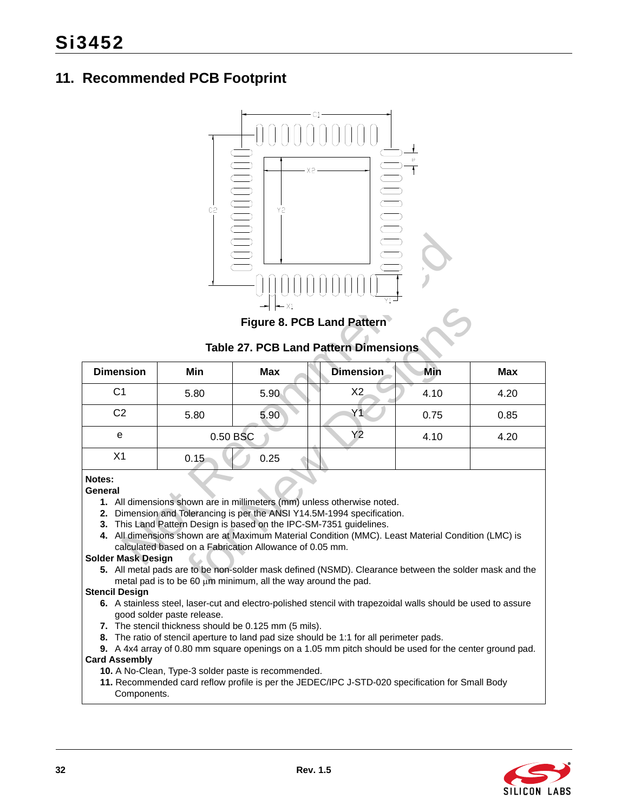# <span id="page-31-0"></span>**11. Recommended PCB Footprint**



**Table 27. PCB Land Pattern Dimensions**

<span id="page-31-1"></span>

| Y1<br>- X1<br>Figure 8. PCB Land Pattern            |          |                                                                                                                               |                                                                                                                                                                                                                                                                                                                                                                                                                                    |      |            |  |
|-----------------------------------------------------|----------|-------------------------------------------------------------------------------------------------------------------------------|------------------------------------------------------------------------------------------------------------------------------------------------------------------------------------------------------------------------------------------------------------------------------------------------------------------------------------------------------------------------------------------------------------------------------------|------|------------|--|
| <b>Table 27. PCB Land Pattern Dimensions</b>        |          |                                                                                                                               |                                                                                                                                                                                                                                                                                                                                                                                                                                    |      |            |  |
| <b>Dimension</b>                                    | Min      | <b>Max</b>                                                                                                                    | <b>Dimension</b>                                                                                                                                                                                                                                                                                                                                                                                                                   | Min  | <b>Max</b> |  |
| C <sub>1</sub>                                      | 5.80     | 5.90                                                                                                                          | X2                                                                                                                                                                                                                                                                                                                                                                                                                                 | 4.10 | 4.20       |  |
| C <sub>2</sub>                                      | 5.80     | 5.90                                                                                                                          | Y1                                                                                                                                                                                                                                                                                                                                                                                                                                 | 0.75 | 0.85       |  |
| e                                                   | 0.50 BSC |                                                                                                                               | Y2                                                                                                                                                                                                                                                                                                                                                                                                                                 | 4.10 | 4.20       |  |
| X <sub>1</sub>                                      | 0.15     | 0.25                                                                                                                          |                                                                                                                                                                                                                                                                                                                                                                                                                                    |      |            |  |
| Notes:<br>General<br>2.<br>3.<br>Solder Mask Design |          | calculated based on a Fabrication Allowance of 0.05 mm.<br>metal pad is to be 60 $\mu$ m minimum, all the way around the pad. | 1. All dimensions shown are in millimeters (mm) unless otherwise noted.<br>Dimension and Tolerancing is per the ANSI Y14.5M-1994 specification.<br>This Land Pattern Design is based on the IPC-SM-7351 guidelines.<br>4. All dimensions shown are at Maximum Material Condition (MMC). Least Material Condition (LMC) is<br>5. All metal pads are to be non-solder mask defined (NSMD). Clearance between the solder mask and the |      |            |  |

- **General**
	- **1.** All dimensions shown are in millimeters (mm) unless otherwise noted.
	- **2.** Dimension and Tolerancing is per the ANSI Y14.5M-1994 specification.
	- **3.** This Land Pattern Design is based on the IPC-SM-7351 guidelines.
	- **4.** All dimensions shown are at Maximum Material Condition (MMC). Least Material Condition (LMC) is calculated based on a Fabrication Allowance of 0.05 mm.

#### **Solder Mask Design**

#### **Stencil Design**

- **6.** A stainless steel, laser-cut and electro-polished stencil with trapezoidal walls should be used to assure good solder paste release.
- **7.** The stencil thickness should be 0.125 mm (5 mils).
- **8.** The ratio of stencil aperture to land pad size should be 1:1 for all perimeter pads.

**9.** A 4x4 array of 0.80 mm square openings on a 1.05 mm pitch should be used for the center ground pad. **Card Assembly**

- **10.** A No-Clean, Type-3 solder paste is recommended.
- **11.** Recommended card reflow profile is per the JEDEC/IPC J-STD-020 specification for Small Body Components.

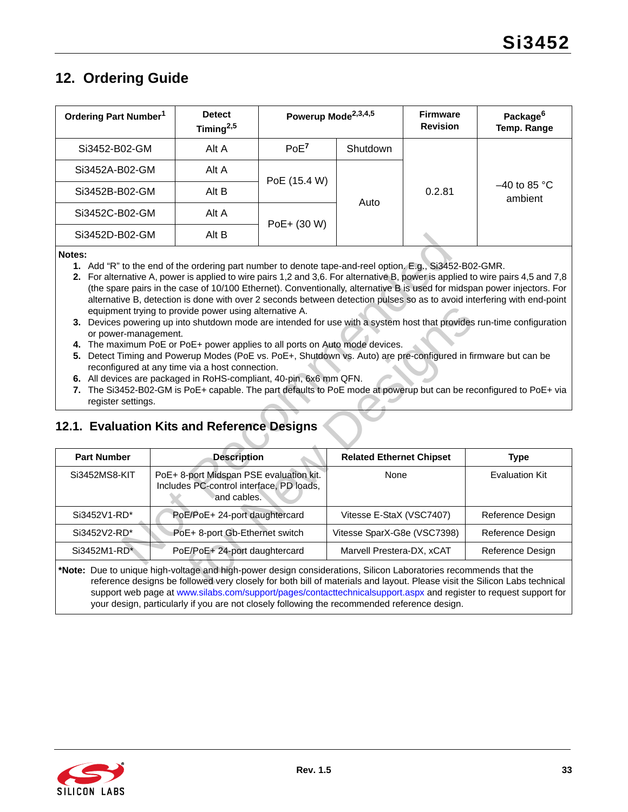# <span id="page-32-2"></span><span id="page-32-0"></span>**12. Ordering Guide**

| Ordering Part Number <sup>1</sup> | <b>Detect</b><br>Timing $^{2,5}$ | Powerup Mode <sup>2,3,4,5</sup> |          | <b>Firmware</b><br><b>Revision</b> | Package <sup>6</sup><br>Temp. Range |
|-----------------------------------|----------------------------------|---------------------------------|----------|------------------------------------|-------------------------------------|
| Si3452-B02-GM                     | Alt A                            | PoE <sup>7</sup>                | Shutdown |                                    |                                     |
| Si3452A-B02-GM                    | Alt A                            | PoE (15.4 W)                    | Auto     | 0.2.81                             | $-40$ to 85 °C<br>ambient           |
| Si3452B-B02-GM                    | Alt B                            |                                 |          |                                    |                                     |
| Si3452C-B02-GM                    | Alt A                            | PoE+ (30 W)                     |          |                                    |                                     |
| Si3452D-B02-GM                    | Alt B                            |                                 |          |                                    |                                     |

- <span id="page-32-6"></span>**1.** Add "R" to the end of the ordering part number to denote tape-and-reel option. E.g., Si3452-B02-GMR.
- <span id="page-32-7"></span>**2.** For alternative A, power is applied to wire pairs 1,2 and 3,6. For alternative B, power is applied to wire pairs 4,5 and 7,8 (the spare pairs in the case of 10/100 Ethernet). Conventionally, alternative B is used for midspan power injectors. For alternative B, detection is done with over 2 seconds between detection pulses so as to avoid interfering with end-point equipment trying to provide power using alternative A.
- <span id="page-32-8"></span>**3.** Devices powering up into shutdown mode are intended for use with a system host that provides run-time configuration or power-management.
- <span id="page-32-9"></span>**4.** The maximum PoE or PoE+ power applies to all ports on Auto mode devices.
- <span id="page-32-3"></span>**5.** Detect Timing and Powerup Modes (PoE vs. PoE+, Shutdown vs. Auto) are pre-configured in firmware but can be reconfigured at any time via a host connection.
- <span id="page-32-5"></span>**6.** All devices are packaged in RoHS-compliant, 40-pin, 6x6 mm QFN.
- <span id="page-32-4"></span>**7.** The Si3452-B02-GM is PoE+ capable. The part defaults to PoE mode at powerup but can be reconfigured to PoE+ via register settings.

### <span id="page-32-1"></span>**12.1. Evaluation Kits and Reference Designs**

|                                                                                                                                                                                                                                                                                                                                                                                                                                                                                                                                                                                                                                                                                                                                                                                                                                                                                                                                                                                                                                                                                                                                                                                               | Si3452D-B02-GM     | Alt B                                                                                              |  |                                 |  |                       |
|-----------------------------------------------------------------------------------------------------------------------------------------------------------------------------------------------------------------------------------------------------------------------------------------------------------------------------------------------------------------------------------------------------------------------------------------------------------------------------------------------------------------------------------------------------------------------------------------------------------------------------------------------------------------------------------------------------------------------------------------------------------------------------------------------------------------------------------------------------------------------------------------------------------------------------------------------------------------------------------------------------------------------------------------------------------------------------------------------------------------------------------------------------------------------------------------------|--------------------|----------------------------------------------------------------------------------------------------|--|---------------------------------|--|-----------------------|
| Notes:<br>1. Add "R" to the end of the ordering part number to denote tape-and-reel option. E.g., Si3452-B02-GMR.<br>2. For alternative A, power is applied to wire pairs 1,2 and 3,6. For alternative B, power is applied to wire pairs 4,5 and 7,8<br>(the spare pairs in the case of 10/100 Ethernet). Conventionally, alternative B is used for midspan power injectors. For<br>alternative B, detection is done with over 2 seconds between detection pulses so as to avoid interfering with end-point<br>equipment trying to provide power using alternative A.<br>3. Devices powering up into shutdown mode are intended for use with a system host that provides run-time configuration<br>or power-management.<br>4. The maximum PoE or PoE+ power applies to all ports on Auto mode devices.<br>5. Detect Timing and Powerup Modes (PoE vs. PoE+, Shutdown vs. Auto) are pre-configured in firmware but can be<br>reconfigured at any time via a host connection.<br>6. All devices are packaged in RoHS-compliant, 40-pin, 6x6 mm QFN.<br>7. The Si3452-B02-GM is PoE+ capable. The part defaults to PoE mode at powerup but can be reconfigured to PoE+ via<br>register settings. |                    |                                                                                                    |  |                                 |  |                       |
|                                                                                                                                                                                                                                                                                                                                                                                                                                                                                                                                                                                                                                                                                                                                                                                                                                                                                                                                                                                                                                                                                                                                                                                               |                    |                                                                                                    |  |                                 |  |                       |
|                                                                                                                                                                                                                                                                                                                                                                                                                                                                                                                                                                                                                                                                                                                                                                                                                                                                                                                                                                                                                                                                                                                                                                                               |                    | 12.1. Evaluation Kits and Reference Designs                                                        |  |                                 |  |                       |
|                                                                                                                                                                                                                                                                                                                                                                                                                                                                                                                                                                                                                                                                                                                                                                                                                                                                                                                                                                                                                                                                                                                                                                                               | <b>Part Number</b> | <b>Description</b>                                                                                 |  | <b>Related Ethernet Chipset</b> |  | <b>Type</b>           |
|                                                                                                                                                                                                                                                                                                                                                                                                                                                                                                                                                                                                                                                                                                                                                                                                                                                                                                                                                                                                                                                                                                                                                                                               | Si3452MS8-KIT      | PoE+ 8-port Midspan PSE evaluation kit.<br>Includes PC-control interface, PD loads,<br>and cables. |  | None                            |  | <b>Evaluation Kit</b> |
|                                                                                                                                                                                                                                                                                                                                                                                                                                                                                                                                                                                                                                                                                                                                                                                                                                                                                                                                                                                                                                                                                                                                                                                               | Si3452V1-RD*       | PoE/PoE+ 24-port daughtercard                                                                      |  | Vitesse E-StaX (VSC7407)        |  | Reference Design      |
|                                                                                                                                                                                                                                                                                                                                                                                                                                                                                                                                                                                                                                                                                                                                                                                                                                                                                                                                                                                                                                                                                                                                                                                               | Si3452V2-RD*       | PoE+ 8-port Gb-Ethernet switch                                                                     |  | Vitesse SparX-G8e (VSC7398)     |  | Reference Design      |
|                                                                                                                                                                                                                                                                                                                                                                                                                                                                                                                                                                                                                                                                                                                                                                                                                                                                                                                                                                                                                                                                                                                                                                                               | Si3452M1-RD*       | PoE/PoE+ 24-port daughtercard                                                                      |  | Marvell Prestera-DX, xCAT       |  | Reference Design      |

[reference designs be followed very closely for both bill of materials and layout. Please visit the Silicon Labs technical](https://www.silabs.com/support/pages/contacttechnicalsupport.aspx)  [support web page at](https://www.silabs.com/support/pages/contacttechnicalsupport.aspx) www.silabs.com/support/pages/contacttechnicalsupport.aspx and register to request support for your design, particularly if you are not closely following the recommended reference design.

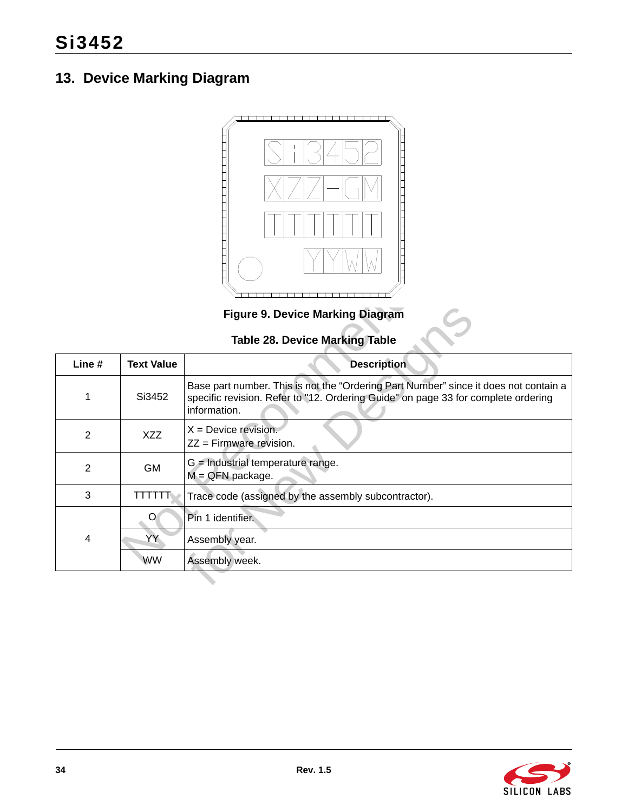# <span id="page-33-0"></span>**13. Device Marking Diagram**



# **Table 28. Device Marking Table**

<span id="page-33-2"></span><span id="page-33-1"></span>

| $\mathbf{I}$                            |                   |                                                                                                                                                                                           |  |  |  |
|-----------------------------------------|-------------------|-------------------------------------------------------------------------------------------------------------------------------------------------------------------------------------------|--|--|--|
| <b>Figure 9. Device Marking Diagram</b> |                   |                                                                                                                                                                                           |  |  |  |
| <b>Table 28. Device Marking Table</b>   |                   |                                                                                                                                                                                           |  |  |  |
| Line #                                  | <b>Text Value</b> | <b>Description</b>                                                                                                                                                                        |  |  |  |
| 1                                       | Si3452            | Base part number. This is not the "Ordering Part Number" since it does not contain a<br>specific revision. Refer to "12. Ordering Guide" on page 33 for complete ordering<br>information. |  |  |  |
| 2                                       | <b>XZZ</b>        | $X =$ Device revision.<br>ZZ = Firmware revision.                                                                                                                                         |  |  |  |
| 2                                       | <b>GM</b>         | $G =$ Industrial temperature range.<br>$M = QFN$ package.                                                                                                                                 |  |  |  |
| 3                                       | TTTTT             | Trace code (assigned by the assembly subcontractor).                                                                                                                                      |  |  |  |
|                                         | O                 | Pin 1 identifier.                                                                                                                                                                         |  |  |  |
| 4                                       | YY                | Assembly year.                                                                                                                                                                            |  |  |  |
|                                         | <b>WW</b>         | Assembly week.                                                                                                                                                                            |  |  |  |
|                                         |                   |                                                                                                                                                                                           |  |  |  |

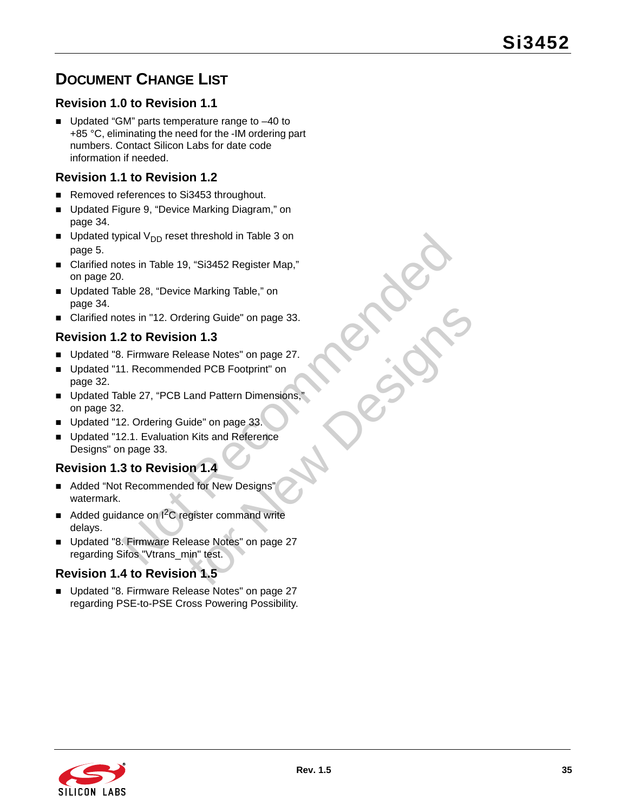# <span id="page-34-0"></span>**DOCUMENT CHANGE LIST**

# **Revision 1.0 to Revision 1.1**

■ Updated "GM" parts temperature range to -40 to +85 °C, eliminating the need for the -IM ordering part numbers. Contact Silicon Labs for date code information if needed.

### **Revision 1.1 to Revision 1.2**

- Removed references to Si3453 throughout.
- Updated Figure 9, "Device Marking Diagram," on [page 34](#page-33-2).
- Updated typical  $V_{DD}$  reset threshold in Table 3 on [page 5.](#page-4-1)
- Clarified notes in Table 19, "Si3452 Register Map," [on page 20](#page-19-0).
- Updated Table 28, "Device Marking Table," on [page 34](#page-33-1).
- Clarified notes in "12. Ordering Guide" on page 33.

### **Revision 1.2 to Revision 1.3**

- Updated "8. Firmware Release Notes" on page 27.
- Updated "11. Recommended PCB Footprint" on [page 32](#page-31-0).
- pical V<sub>DD</sub> reset threshold in Table 3 on<br>tes in Table 19, "Si3452 Register Map,"<br>
.<br>
hable 28, "Device Marking Table," on<br>
tes in "12. Ordering Guide" on page 33.<br> **2 to Revision 1.3**<br>
1. R[eco](#page-32-1)[m](#page-31-0)mended PCB Footprint" on<br>
.<br> dering Guide" on page 33.<br> **on 1.3**<br>
Ilease Notes" on page 27.<br>
ded PCB Footprint" on<br>
Land Pattern Dimensions,"<br>
uide" on page 33.<br> **on 1.4**<br>
ed for New Designs"<br>
egister command write<br>
lease Notes" on page 27<br>
nin" test. ■ Updated Table 27, "PCB Land Pattern Dimensions," [on page 32](#page-31-1).
- Updated "12. Ordering Guide" on page 33.
- Updated "12.1. Evaluation Kits and Reference [Designs" on page 33.](#page-32-1)

# **Revision 1.3 to Revision 1.4**

- Added "Not Recommended for New Designs" watermark.
- Added guidance on  $1^2C$  register command write delays.
- Updated "8. Firmware Release Notes" on page 27 regarding Sifos "Vtrans\_min" test.

### **Revision 1.4 to Revision 1.5**

Updated "8. Firmware Release Notes" on page 27 regarding PSE-to-PSE Cross Powering Possibility.